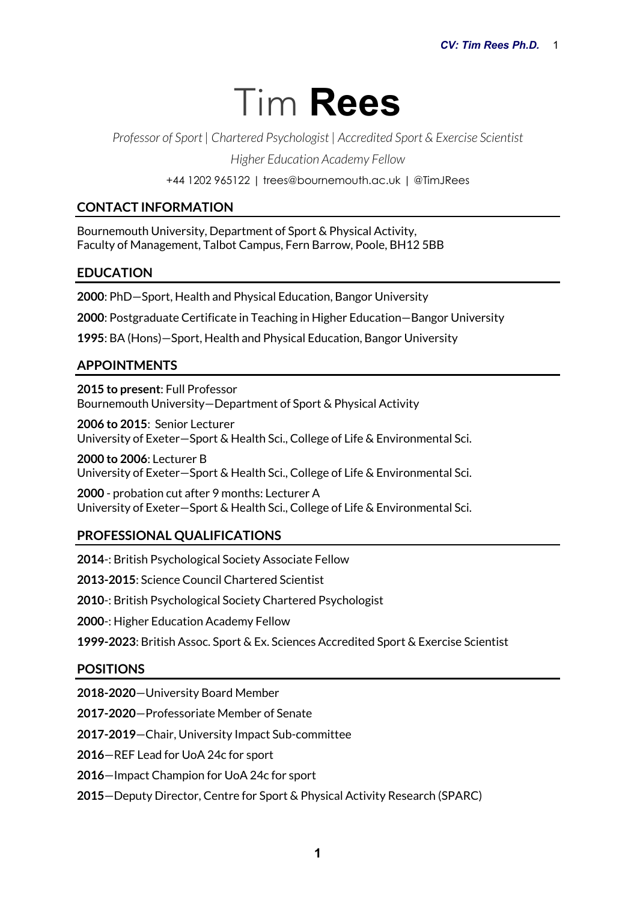# Tim **Rees**

*Professor of Sport | Chartered Psychologist | Accredited Sport & Exercise Scientist*

*Higher Education Academy Fellow*

+44 1202 965122 | trees@bournemouth.ac.uk | @TimJRees

# **CONTACT INFORMATION**

Bournemouth University, Department of Sport & Physical Activity, Faculty of Management, Talbot Campus, Fern Barrow, Poole, BH12 5BB

# **EDUCATION**

**2000**: PhD—Sport, Health and Physical Education, Bangor University

**2000**: Postgraduate Certificate in Teaching in Higher Education—Bangor University

**1995**: BA (Hons)—Sport, Health and Physical Education, Bangor University

# **APPOINTMENTS**

**2015 to present**: Full Professor Bournemouth University—Department of Sport & Physical Activity

**2006 to 2015**: Senior Lecturer University of Exeter—Sport & Health Sci., College of Life & Environmental Sci.

**2000 to 2006**: Lecturer B University of Exeter—Sport & Health Sci., College of Life & Environmental Sci.

**2000** - probation cut after 9 months: Lecturer A University of Exeter—Sport & Health Sci., College of Life & Environmental Sci.

# **PROFESSIONAL QUALIFICATIONS**

**2014**-: British Psychological Society Associate Fellow **2013-2015**: Science Council Chartered Scientist **2010**-: British Psychological Society Chartered Psychologist **2000**-: Higher Education Academy Fellow **1999-2023**: British Assoc. Sport & Ex. Sciences Accredited Sport & Exercise Scientist

# **POSITIONS**

**2018-2020**—University Board Member

**2017-2020**—Professoriate Member of Senate

**2017-2019**—Chair, University Impact Sub-committee

**2016**—REF Lead for UoA 24c for sport

**2016**—Impact Champion for UoA 24c for sport

**2015**—Deputy Director, Centre for Sport & Physical Activity Research (SPARC)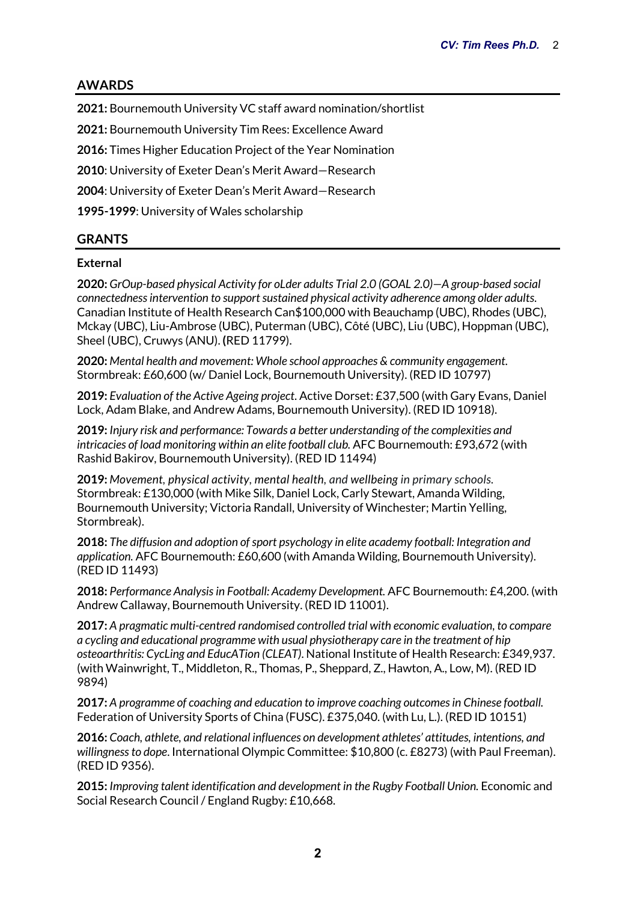# **AWARDS**

**2021:** Bournemouth University VC staff award nomination/shortlist

**2021:** Bournemouth University Tim Rees: Excellence Award

**2016:** Times Higher Education Project of the Year Nomination

**2010**: University of Exeter Dean's Merit Award—Research

**2004**: University of Exeter Dean's Merit Award—Research

**1995-1999**: University of Wales scholarship

# **GRANTS**

## **External**

**2020:** *GrOup-based physical Activity for oLder adults Trial 2.0 (GOAL 2.0)—A group-based social connectedness intervention to support sustained physical activity adherence among older adults*. Canadian Institute of Health Research Can\$100,000 with Beauchamp (UBC), Rhodes (UBC), Mckay (UBC), Liu-Ambrose (UBC), Puterman (UBC), Côté (UBC), Liu (UBC), Hoppman (UBC), Sheel (UBC), Cruwys (ANU). **(**RED 11799).

**2020:** *Mental health and movement: Whole school approaches & community engagement.*  Stormbreak: £60,600 (w/ Daniel Lock, Bournemouth University). (RED ID 10797)

**2019:** *Evaluation of the Active Ageing project*. Active Dorset: £37,500 (with Gary Evans, Daniel Lock, Adam Blake, and Andrew Adams, Bournemouth University). (RED ID 10918).

**2019:** *Injury risk and performance: Towards a better understanding of the complexities and intricacies of load monitoring within an elite football club.* AFC Bournemouth: £93,672 (with Rashid Bakirov, Bournemouth University). (RED ID 11494)

**2019:** *Movement, physical activity, mental health, and wellbeing in primary schools.*  Stormbreak: £130,000 (with Mike Silk, Daniel Lock, Carly Stewart, Amanda Wilding, Bournemouth University; Victoria Randall, University of Winchester; Martin Yelling, Stormbreak).

**2018:** *The diffusion and adoption of sport psychology in elite academy football: Integration and application.* AFC Bournemouth: £60,600 (with Amanda Wilding, Bournemouth University). (RED ID 11493)

**2018:** *Performance Analysis in Football: Academy Development.* AFC Bournemouth: £4,200. (with Andrew Callaway, Bournemouth University. (RED ID 11001).

**2017:** *A pragmatic multi-centred randomised controlled trial with economic evaluation, to compare a cycling and educational programme with usual physiotherapy care in the treatment of hip osteoarthritis: CycLing and EducATion (CLEAT)*. National Institute of Health Research: £349,937. (with Wainwright, T., Middleton, R., Thomas, P., Sheppard, Z., Hawton, A., Low, M). (RED ID 9894)

**2017:** *A programme of coaching and education to improve coaching outcomes in Chinese football.*  Federation of University Sports of China (FUSC). £375,040. (with Lu, L.). (RED ID 10151)

**2016:** *Coach, athlete, and relational influences on development athletes' attitudes, intentions, and willingness to dope*. International Olympic Committee: \$10,800 (c. £8273) (with Paul Freeman). (RED ID 9356).

**2015:** *Improving talent identification and development in the Rugby Football Union.* Economic and Social Research Council / England Rugby: £10,668.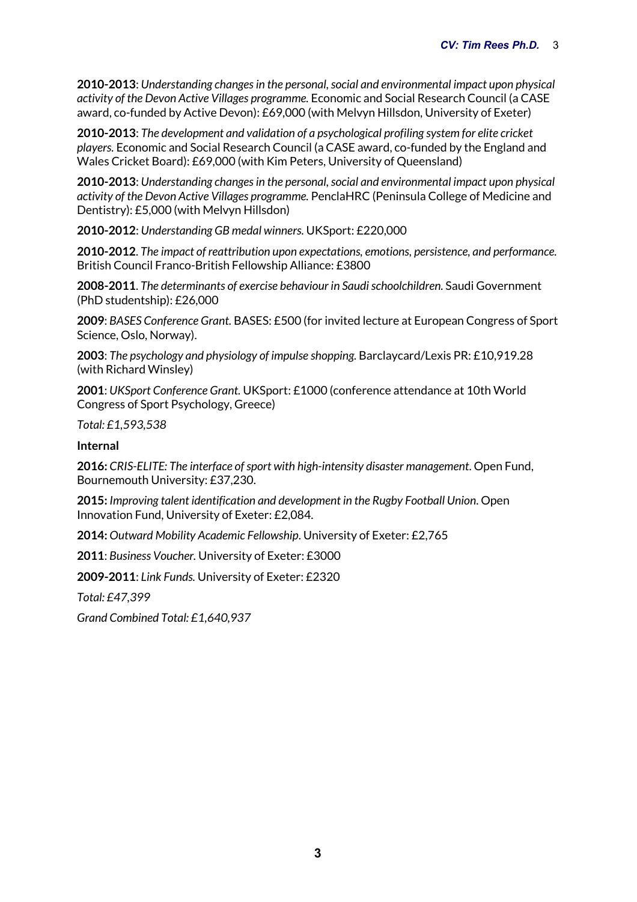**2010-2013**: *Understanding changes in the personal, social and environmental impact upon physical activity of the Devon Active Villages programme.* Economic and Social Research Council (a CASE award, co-funded by Active Devon): £69,000 (with Melvyn Hillsdon, University of Exeter)

**2010-2013**: *The development and validation of a psychological profiling system for elite cricket players.* Economic and Social Research Council (a CASE award, co-funded by the England and Wales Cricket Board): £69,000 (with Kim Peters, University of Queensland)

**2010-2013**: *Understanding changes in the personal, social and environmental impact upon physical activity of the Devon Active Villages programme.* PenclaHRC (Peninsula College of Medicine and Dentistry): £5,000 (with Melvyn Hillsdon)

**2010-2012**: *Understanding GB medal winners.* UKSport: £220,000

**2010-2012**. *The impact of reattribution upon expectations, emotions, persistence, and performance.*  British Council Franco-British Fellowship Alliance: £3800

**2008-2011**. *The determinants of exercise behaviour in Saudi schoolchildren.* Saudi Government (PhD studentship): £26,000

**2009**: *BASES Conference Grant.* BASES: £500 (for invited lecture at European Congress of Sport Science, Oslo, Norway).

**2003**: *The psychology and physiology of impulse shopping.* Barclaycard/Lexis PR: £10,919.28 (with Richard Winsley)

**2001**: *UKSport Conference Grant.* UKSport: £1000 (conference attendance at 10th World Congress of Sport Psychology, Greece)

*Total: £1,593,538*

**Internal**

**2016:** *CRIS-ELITE: The interface of sport with high-intensity disaster management*. Open Fund, Bournemouth University: £37,230.

**2015:** *Improving talent identification and development in the Rugby Football Union*. Open Innovation Fund, University of Exeter: £2,084.

**2014:** *Outward Mobility Academic Fellowship*. University of Exeter: £2,765

**2011**: *Business Voucher.* University of Exeter: £3000

**2009-2011**: *Link Funds.* University of Exeter: £2320

*Total: £47,399*

*Grand Combined Total: £1,640,937*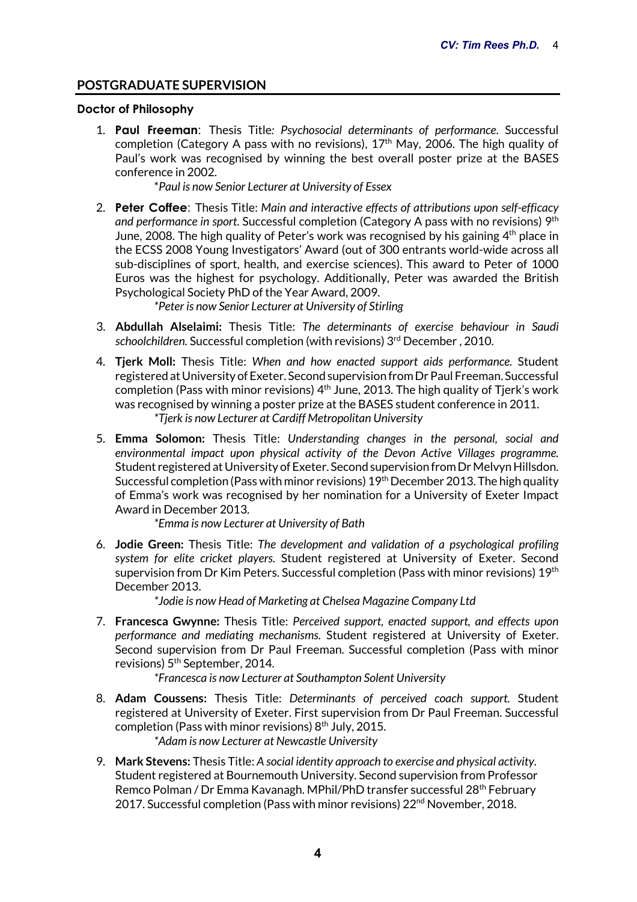# **POSTGRADUATE SUPERVISION**

#### **Doctor of Philosophy**

1. **Paul Freeman**: Thesis Title*: Psychosocial determinants of performance*. Successful completion (Category A pass with no revisions),  $17<sup>th</sup>$  May, 2006. The high quality of Paul's work was recognised by winning the best overall poster prize at the BASES conference in 2002.

\**Paul is now Senior Lecturer at University of Essex*

2. **Peter Coffee**: Thesis Title: *Main and interactive effects of attributions upon self-efficacy and performance in sport*. Successful completion (Category A pass with no revisions) 9th June, 2008. The high quality of Peter's work was recognised by his gaining 4<sup>th</sup> place in the ECSS 2008 Young Investigators' Award (out of 300 entrants world-wide across all sub-disciplines of sport, health, and exercise sciences). This award to Peter of 1000 Euros was the highest for psychology. Additionally, Peter was awarded the British Psychological Society PhD of the Year Award, 2009.

*\*Peter is now Senior Lecturer at University of Stirling*

- 3. **Abdullah Alselaimi:** Thesis Title: *The determinants of exercise behaviour in Saudi schoolchildren.* Successful completion (with revisions) 3rd December , 2010.
- 4. **Tjerk Moll:** Thesis Title: *When and how enacted support aids performance.* Student registered at University of Exeter. Second supervision from Dr Paul Freeman. Successful completion (Pass with minor revisions)  $4<sup>th</sup>$  June, 2013. The high quality of Tierk's work was recognised by winning a poster prize at the BASES student conference in 2011. *\*Tjerk is now Lecturer at Cardiff Metropolitan University*
- 5. **Emma Solomon:** Thesis Title: *Understanding changes in the personal, social and environmental impact upon physical activity of the Devon Active Villages programme.*  Student registered at University of Exeter. Second supervision from Dr Melvyn Hillsdon. Successful completion (Pass with minor revisions) 19<sup>th</sup> December 2013. The high quality of Emma's work was recognised by her nomination for a University of Exeter Impact Award in December 2013.

*\*Emma is now Lecturer at University of Bath*

6. **Jodie Green:** Thesis Title: *The development and validation of a psychological profiling system for elite cricket players.* Student registered at University of Exeter. Second supervision from Dr Kim Peters. Successful completion (Pass with minor revisions) 19<sup>th</sup> December 2013.

*\*Jodie is now Head of Marketing at Chelsea Magazine Company Ltd*

7. **Francesca Gwynne:** Thesis Title: *Perceived support, enacted support, and effects upon performance and mediating mechanisms.* Student registered at University of Exeter. Second supervision from Dr Paul Freeman. Successful completion (Pass with minor revisions) 5<sup>th</sup> September, 2014.

*\*Francesca is now Lecturer at Southampton Solent University*

- 8. **Adam Coussens:** Thesis Title: *Determinants of perceived coach support.* Student registered at University of Exeter. First supervision from Dr Paul Freeman. Successful completion (Pass with minor revisions)  $8<sup>th</sup>$  July, 2015. *\*Adam is now Lecturer at Newcastle University*
- 9. **Mark Stevens:** Thesis Title: *A social identity approach to exercise and physical activity.* Student registered at Bournemouth University. Second supervision from Professor Remco Polman / Dr Emma Kavanagh. MPhil/PhD transfer successful 28th February 2017. Successful completion (Pass with minor revisions) 22<sup>nd</sup> November, 2018.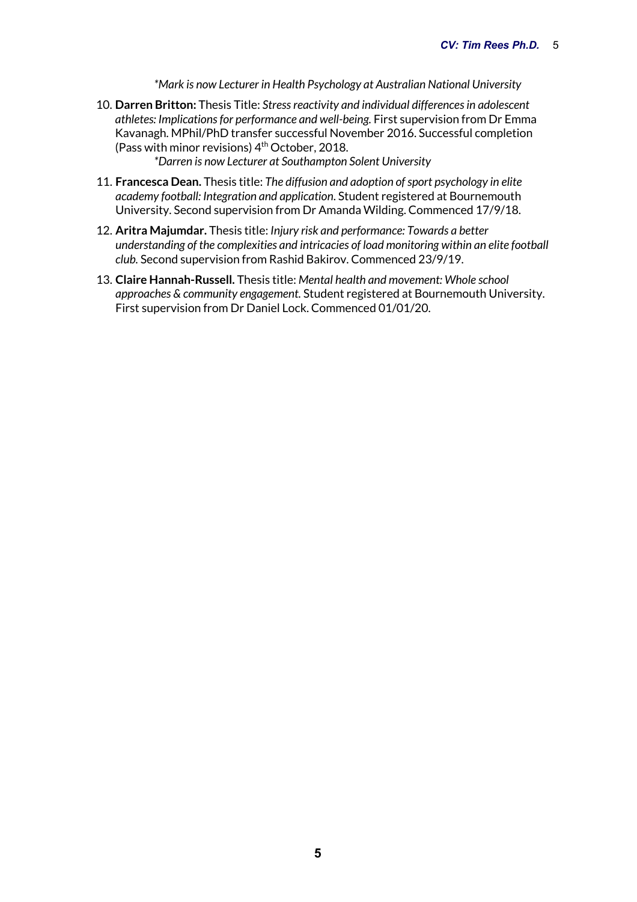*\*Mark is now Lecturer in Health Psychology at Australian National University*

10. **Darren Britton:** Thesis Title: *Stress reactivity and individual differences in adolescent athletes: Implications for performance and well-being.* First supervision from Dr Emma Kavanagh. MPhil/PhD transfer successful November 2016. Successful completion (Pass with minor revisions) 4th October, 2018.

*\*Darren is now Lecturer at Southampton Solent University*

- 11. **Francesca Dean.** Thesis title: *The diffusion and adoption of sport psychology in elite academy football: Integration and application*. Student registered at Bournemouth University. Second supervision from Dr Amanda Wilding. Commenced 17/9/18.
- 12. **Aritra Majumdar.** Thesis title: *Injury risk and performance: Towards a better understanding of the complexities and intricacies of load monitoring within an elite football club.* Second supervision from Rashid Bakirov. Commenced 23/9/19.
- 13. **Claire Hannah-Russell.** Thesis title: *Mental health and movement: Whole school approaches & community engagement.* Student registered at Bournemouth University. First supervision from Dr Daniel Lock. Commenced 01/01/20.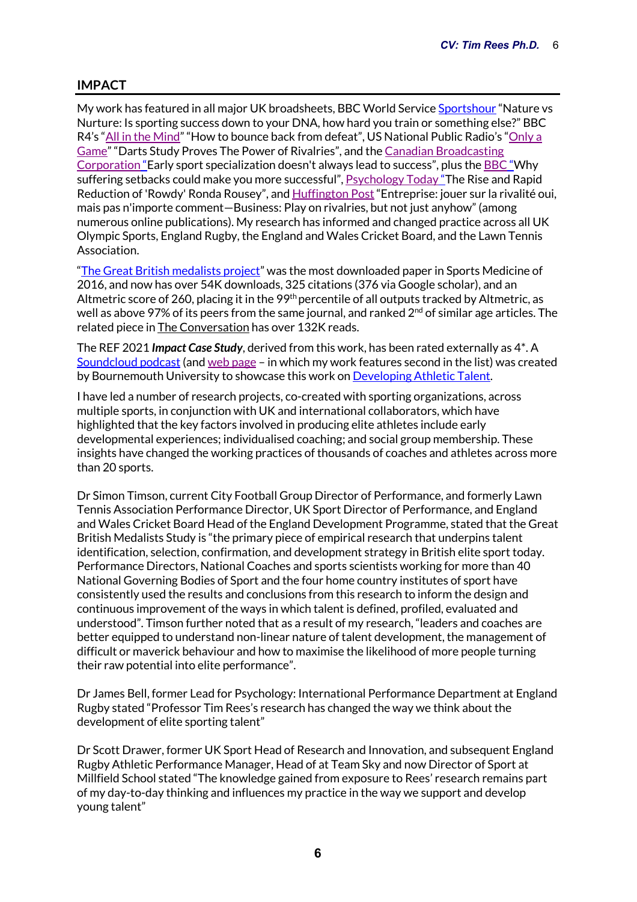# **IMPACT**

My work has featured in all major UK broadsheets, BBC World Service Sportshour "Nature vs Nurture: Is sporting success down to your DNA, how hard you train or something else?" BBC R4's "All in the Mind" "How to bounce back from defeat", US National Public Radio's "Only a Game" "Darts Study Proves The Power of Rivalries", and the Canadian Broadcasting Corporation "Early sport specialization doesn't always lead to success", plus the BBC "Why suffering setbacks could make you more successful", Psychology Today "The Rise and Rapid Reduction of 'Rowdy' Ronda Rousey", and Huffington Post "Entreprise: jouer sur la rivalité oui, mais pas n'importe comment—Business: Play on rivalries, but not just anyhow" (among numerous online publications). My research has informed and changed practice across all UK Olympic Sports, England Rugby, the England and Wales Cricket Board, and the Lawn Tennis Association.

"The Great British medalists project" was the most downloaded paper in Sports Medicine of 2016, and now has over 54K downloads, 325 citations (376 via Google scholar), and an Altmetric score of 260, placing it in the 99<sup>th</sup> percentile of all outputs tracked by Altmetric, as well as above 97% of its peers from the same journal, and ranked  $2<sup>nd</sup>$  of similar age articles. The related piece in The Conversation has over 132K reads.

The REF 2021 *Impact Case Study*, derived from this work, has been rated externally as 4\*. A Soundcloud podcast (and web page – in which my work features second in the list) was created by Bournemouth University to showcase this work on Developing Athletic Talent.

I have led a number of research projects, co-created with sporting organizations, across multiple sports, in conjunction with UK and international collaborators, which have highlighted that the key factors involved in producing elite athletes include early developmental experiences; individualised coaching; and social group membership. These insights have changed the working practices of thousands of coaches and athletes across more than 20 sports.

Dr Simon Timson, current City Football Group Director of Performance, and formerly Lawn Tennis Association Performance Director, UK Sport Director of Performance, and England and Wales Cricket Board Head of the England Development Programme, stated that the Great British Medalists Study is "the primary piece of empirical research that underpins talent identification, selection, confirmation, and development strategy in British elite sport today. Performance Directors, National Coaches and sports scientists working for more than 40 National Governing Bodies of Sport and the four home country institutes of sport have consistently used the results and conclusions from this research to inform the design and continuous improvement of the ways in which talent is defined, profiled, evaluated and understood". Timson further noted that as a result of my research, "leaders and coaches are better equipped to understand non-linear nature of talent development, the management of difficult or maverick behaviour and how to maximise the likelihood of more people turning their raw potential into elite performance".

Dr James Bell, former Lead for Psychology: International Performance Department at England Rugby stated "Professor Tim Rees's research has changed the way we think about the development of elite sporting talent"

Dr Scott Drawer, former UK Sport Head of Research and Innovation, and subsequent England Rugby Athletic Performance Manager, Head of at Team Sky and now Director of Sport at Millfield School stated "The knowledge gained from exposure to Rees' research remains part of my day-to-day thinking and influences my practice in the way we support and develop young talent"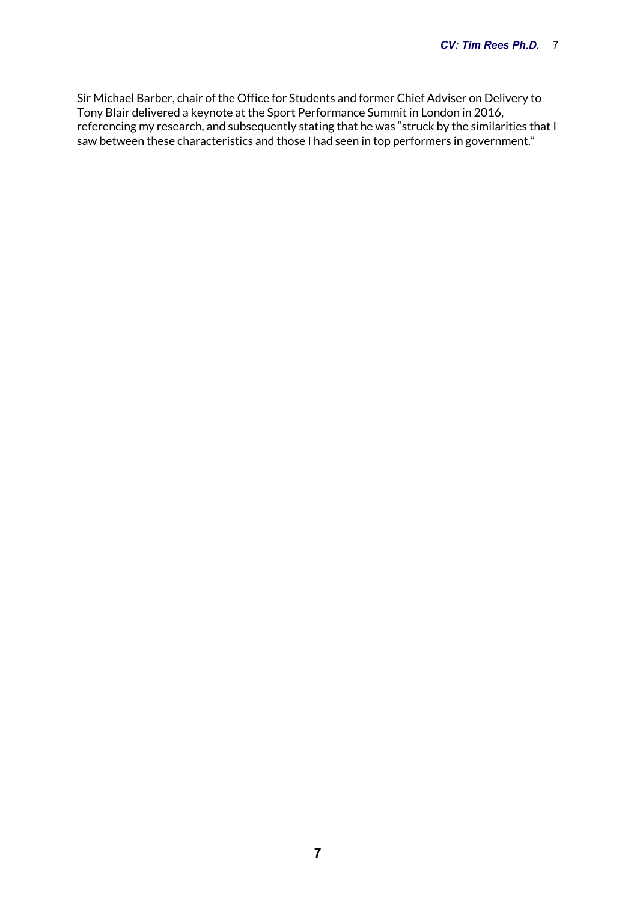Sir Michael Barber, chair of the Office for Students and former Chief Adviser on Delivery to Tony Blair delivered a keynote at the Sport Performance Summit in London in 2016, referencing my research, and subsequently stating that he was "struck by the similarities that I saw between these characteristics and those I had seen in top performers in government."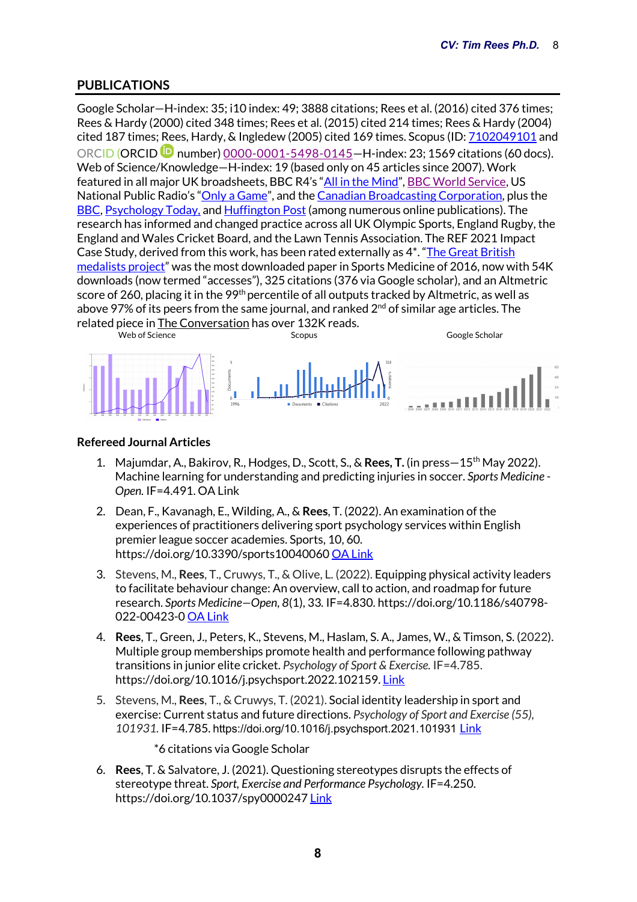# **PUBLICATIONS**

Google Scholar—H-index: 35; i10 index: 49; 3888 citations; Rees et al. (2016) cited 376 times; Rees & Hardy (2000) cited 348 times; Rees et al. (2015) cited 214 times; Rees & Hardy (2004) cited 187 times; Rees, Hardy, & Ingledew (2005) cited 169 times. Scopus (ID: 7102049101 and ORCID (ORCID number) 0000-0001-5498-0145—H-index: 23; 1569 citations (60 docs). Web of Science/Knowledge—H-index: 19 (based only on 45 articles since 2007). Work featured in all major UK broadsheets, BBC R4's "All in the Mind", BBC World Service, US National Public Radio's "Only a Game", and the Canadian Broadcasting Corporation, plus the BBC, Psychology Today, and Huffington Post (among numerous online publications). The research has informed and changed practice across all UK Olympic Sports, England Rugby, the England and Wales Cricket Board, and the Lawn Tennis Association. The REF 2021 Impact Case Study, derived from this work, has been rated externally as 4\*. "The Great British medalists project" was the most downloaded paper in Sports Medicine of 2016, now with 54K downloads (now termed "accesses"), 325 citations (376 via Google scholar), and an Altmetric score of 260, placing it in the 99<sup>th</sup> percentile of all outputs tracked by Altmetric, as well as above 97% of its peers from the same journal, and ranked 2<sup>nd</sup> of similar age articles. The related piece in The Conversation has over 132K reads.



## **Refereed Journal Articles**

- 1. Majumdar, A., Bakirov, R., Hodges, D., Scott, S., & **Rees, T.** (in press—15th May 2022). Machine learning for understanding and predicting injuries in soccer. *Sports Medicine - Open.* IF=4.491. OA Link
- 2. Dean, F., Kavanagh, E., Wilding, A., & **Rees**, T. (2022). An examination of the experiences of practitioners delivering sport psychology services within English premier league soccer academies. Sports, 10, 60. https://doi.org/10.3390/sports10040060 OA Link
- 3. Stevens, M., **Rees**, T., Cruwys, T., & Olive, L. (2022). Equipping physical activity leaders to facilitate behaviour change: An overview, call to action, and roadmap for future research. *Sports Medicine—Open, 8*(1), 33*.* IF=4.830. https://doi.org/10.1186/s40798- 022-00423-0 OA Link
- 4. **Rees**, T., Green, J., Peters, K., Stevens, M., Haslam, S. A., James, W., & Timson, S. (2022). Multiple group memberships promote health and performance following pathway transitions in junior elite cricket. *Psychology of Sport & Exercise.* IF=4.785. https://doi.org/10.1016/j.psychsport.2022.102159. Link
- 5. Stevens, M., **Rees**, T., & Cruwys, T. (2021). Social identity leadership in sport and exercise: Current status and future directions. *Psychology of Sport and Exercise (55), 101931.* IF=4.785. https://doi.org/10.1016/j.psychsport.2021.101931 Link
	- \*6 citations via Google Scholar
- 6. **Rees**, T. & Salvatore, J. (2021). Questioning stereotypes disrupts the effects of stereotype threat. *Sport, Exercise and Performance Psychology.* IF=4.250. https://doi.org/10.1037/spy0000247 Link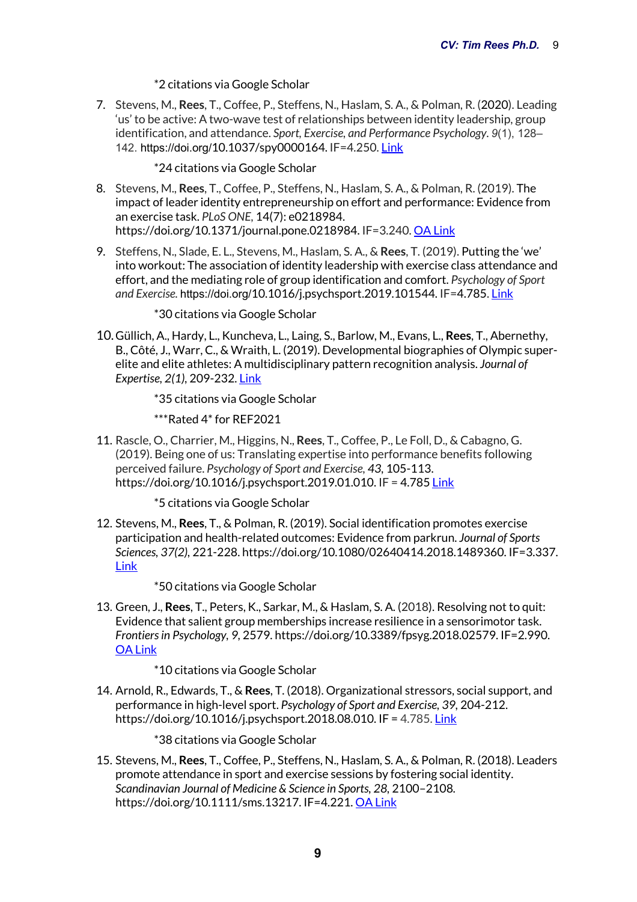## \*2 citations via Google Scholar

7. Stevens, M., **Rees**, T., Coffee, P., Steffens, N., Haslam, S. A., & Polman, R. (2020). Leading 'us' to be active: A two-wave test of relationships between identity leadership, group identification, and attendance. *Sport, Exercise, and Performance Psychology. 9*(1), 128– 142. https://doi.org/10.1037/spy0000164. IF=4.250. Link

\*24 citations via Google Scholar

- 8. Stevens, M., **Rees**, T., Coffee, P., Steffens, N., Haslam, S. A., & Polman, R. (2019). The impact of leader identity entrepreneurship on effort and performance: Evidence from an exercise task. *PLoS ONE,* 14(7): e0218984. https://doi.org/10.1371/journal.pone.0218984. IF=3.240. OA Link
- 9. Steffens, N., Slade, E. L., Stevens, M., Haslam, S. A., & **Rees**, T. (2019). Putting the 'we' into workout: The association of identity leadership with exercise class attendance and effort, and the mediating role of group identification and comfort. *Psychology of Sport and Exercise.* https://doi.org/10.1016/j.psychsport.2019.101544. IF=4.785. Link

\*30 citations via Google Scholar

10.Güllich, A., Hardy, L., Kuncheva, L., Laing, S., Barlow, M., Evans, L., **Rees**, T., Abernethy, B., Côté, J., Warr, C., & Wraith, L. (2019). Developmental biographies of Olympic superelite and elite athletes: A multidisciplinary pattern recognition analysis. *Journal of Expertise, 2(1),* 209-232. Link

\*35 citations via Google Scholar

\*\*\*Rated 4\* for REF2021

11. Rascle, O., Charrier, M., Higgins, N., **Rees**, T., Coffee, P., Le Foll, D., & Cabagno, G. (2019). Being one of us: Translating expertise into performance benefits following perceived failure. *Psychology of Sport and Exercise, 43,* 105-113. https://doi.org/10.1016/j.psychsport.2019.01.010. IF = 4.785 Link

\*5 citations via Google Scholar

12. Stevens, M., **Rees**, T., & Polman, R. (2019). Social identification promotes exercise participation and health-related outcomes: Evidence from parkrun. *Journal of Sports Sciences, 37(2),* 221-228. https://doi.org/10.1080/02640414.2018.1489360. IF=3.337. **Link** 

\*50 citations via Google Scholar

13. Green, J., **Rees**, T., Peters, K., Sarkar, M., & Haslam, S. A. (2018). Resolving not to quit: Evidence that salient group memberships increase resilience in a sensorimotor task. *Frontiersin Psychology, 9,* 2579. https://doi.org/10.3389/fpsyg.2018.02579. IF=2.990. OA Link

\*10 citations via Google Scholar

14. Arnold, R., Edwards, T., & **Rees**, T. (2018). Organizational stressors, social support, and performance in high-level sport. *Psychology of Sport and Exercise, 39,* 204-212. https://doi.org/10.1016/j.psychsport.2018.08.010. IF = 4.785. Link

\*38 citations via Google Scholar

15. Stevens, M., **Rees**, T., Coffee, P., Steffens, N., Haslam, S. A., & Polman, R. (2018). Leaders promote attendance in sport and exercise sessions by fostering social identity. *Scandinavian Journal of Medicine & Science in Sports, 28,* 2100–2108*.*  https://doi.org/10.1111/sms.13217. IF=4.221. OA Link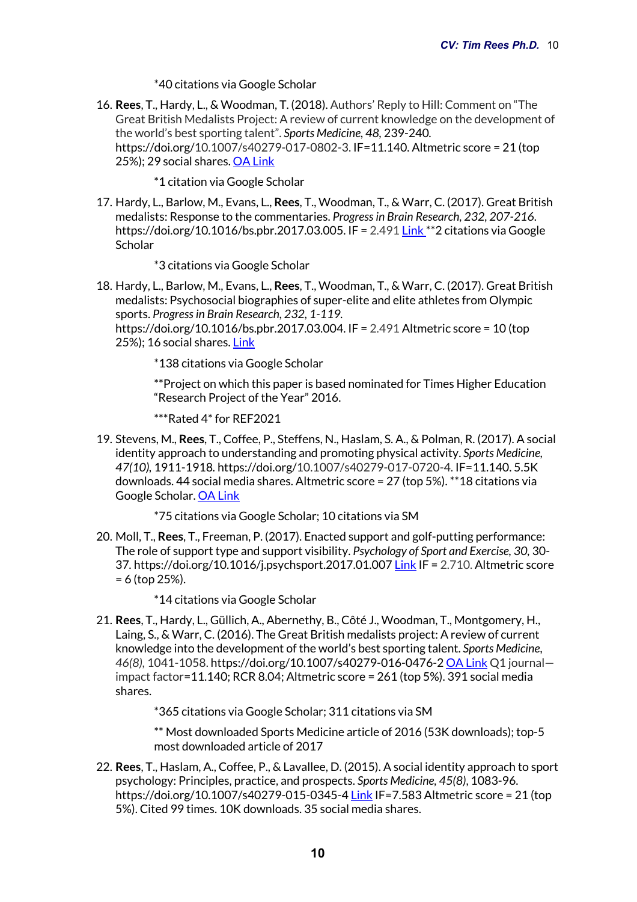\*40 citations via Google Scholar

16. **Rees**, T., Hardy, L., & Woodman, T. (2018). Authors' Reply to Hill: Comment on "The Great British Medalists Project: A review of current knowledge on the development of the world's best sporting talent". *Sports Medicine, 48,* 239-240*.* https://doi.org/10.1007/s40279-017-0802-3. IF=11.140. Altmetric score = 21 (top 25%); 29 social shares. OA Link

\*1 citation via Google Scholar

17. Hardy, L., Barlow, M., Evans, L., **Rees**, T., Woodman, T., & Warr, C. (2017). Great British medalists: Response to the commentaries. *Progress in Brain Research, 232, 207-216*. https://doi.org/10.1016/bs.pbr.2017.03.005. IF = 2.491 Link \*\*2 citations via Google **Scholar** 

\*3 citations via Google Scholar

18. Hardy, L., Barlow, M., Evans, L., **Rees**, T., Woodman, T., & Warr, C. (2017). Great British medalists: Psychosocial biographies of super-elite and elite athletes from Olympic sports. *Progress in Brain Research, 232, 1-119.*  https://doi.org/10.1016/bs.pbr.2017.03.004. IF = 2.491 Altmetric score = 10 (top 25%); 16 social shares. Link

\*138 citations via Google Scholar

\*\*Project on which this paper is based nominated for Times Higher Education "Research Project of the Year" 2016.

\*\*\*Rated 4\* for REF2021

19. Stevens, M., **Rees**, T., Coffee, P., Steffens, N., Haslam, S. A., & Polman, R. (2017). A social identity approach to understanding and promoting physical activity. *Sports Medicine, 47(10),* 1911-1918*.* https://doi.org/10.1007/s40279-017-0720-4. IF=11.140. 5.5K downloads. 44 social media shares. Altmetric score = 27 (top 5%). \*\*18 citations via Google Scholar. OA Link

\*75 citations via Google Scholar; 10 citations via SM

- 20. Moll, T., **Rees**, T., Freeman, P. (2017). Enacted support and golf-putting performance: The role of support type and support visibility. *Psychology of Sport and Exercise, 30,* 30- 37*.* https://doi.org/10.1016/j.psychsport.2017.01.007 Link IF = 2.710. Altmetric score = 6 (top 25%).
	- \*14 citations via Google Scholar
- 21. **Rees**, T., Hardy, L., Güllich, A., Abernethy, B., Côté J., Woodman, T., Montgomery, H., Laing, S., & Warr, C. (2016). The Great British medalists project: A review of current knowledge into the development of the world's best sporting talent. *Sports Medicine*, *46(8),* 1041-1058. https://doi.org/10.1007/s40279-016-0476-2 OA Link Q1 journal impact factor=11.140; RCR 8.04; Altmetric score = 261 (top 5%). 391 social media shares.

\*365 citations via Google Scholar; 311 citations via SM

\*\* Most downloaded Sports Medicine article of 2016 (53K downloads); top-5 most downloaded article of 2017

22. **Rees**, T., Haslam, A., Coffee, P., & Lavallee, D. (2015). A social identity approach to sport psychology: Principles, practice, and prospects. *Sports Medicine, 45(8)*, 1083-96. https://doi.org/10.1007/s40279-015-0345-4 Link IF=7.583 Altmetric score = 21 (top 5%). Cited 99 times. 10K downloads. 35 social media shares.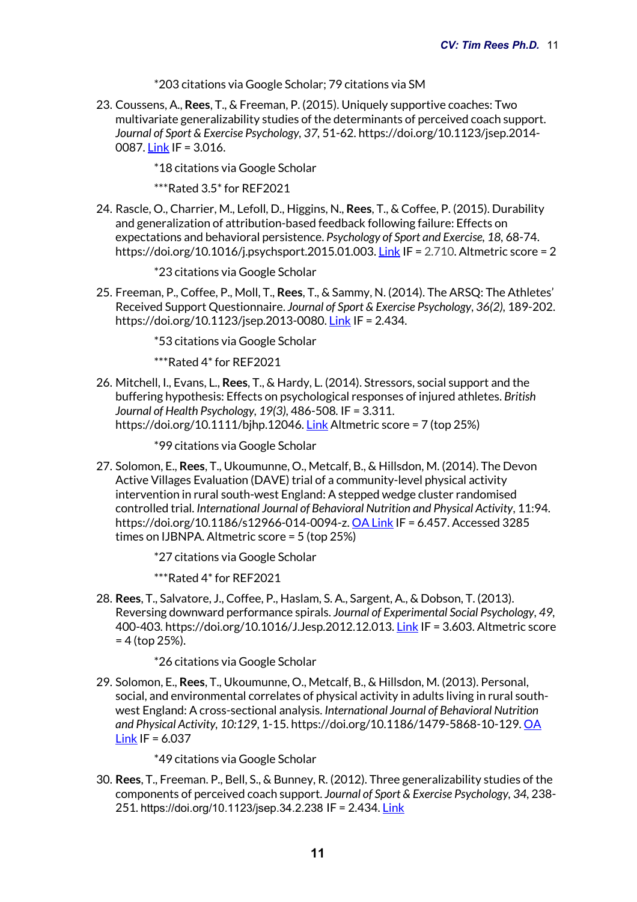\*203 citations via Google Scholar; 79 citations via SM

23. Coussens, A., **Rees**, T., & Freeman, P. (2015). Uniquely supportive coaches: Two multivariate generalizability studies of the determinants of perceived coach support. *Journal of Sport & Exercise Psychology, 37,* 51-62. https://doi.org/10.1123/jsep.2014- 0087. Link IF = 3.016.

\*18 citations via Google Scholar

\*\*\*Rated 3.5\* for REF2021

24. Rascle, O., Charrier, M., Lefoll, D., Higgins, N., **Rees**, T., & Coffee, P. (2015). Durability and generalization of attribution-based feedback following failure: Effects on expectations and behavioral persistence. *Psychology of Sport and Exercise, 18,* 68-74. https://doi.org/10.1016/j.psychsport.2015.01.003. Link IF = 2.710. Altmetric score = 2

\*23 citations via Google Scholar

25. Freeman, P., Coffee, P., Moll, T., **Rees**, T., & Sammy, N. (2014). The ARSQ: The Athletes' Received Support Questionnaire. *Journal of Sport & Exercise Psychology*, *36(2),* 189-202. https://doi.org/10.1123/jsep.2013-0080. Link IF = 2.434.

\*53 citations via Google Scholar

\*\*\*Rated 4\* for REF2021

26. Mitchell, I., Evans, L., **Rees**, T., & Hardy, L. (2014). Stressors, social support and the buffering hypothesis: Effects on psychological responses of injured athletes. *British Journal of Health Psychology, 19(3),* 486-508*.* IF = 3.311. https://doi.org/10.1111/bjhp.12046. Link Altmetric score = 7 (top 25%)

\*99 citations via Google Scholar

27. Solomon, E., **Rees**, T., Ukoumunne, O., Metcalf, B., & Hillsdon, M. (2014). The Devon Active Villages Evaluation (DAVE) trial of a community-level physical activity intervention in rural south-west England: A stepped wedge cluster randomised controlled trial. *International Journal of Behavioral Nutrition and Physical Activity*, 11:94. https://doi.org/10.1186/s12966-014-0094-z. OA Link IF = 6.457. Accessed 3285 times on IJBNPA. Altmetric score = 5 (top 25%)

\*27 citations via Google Scholar

\*\*\*Rated 4\* for REF2021

28. **Rees**, T., Salvatore, J., Coffee, P., Haslam, S. A., Sargent, A., & Dobson, T. (2013). Reversing downward performance spirals. *Journal of Experimental Social Psychology, 49,* 400-403*.* https://doi.org/10.1016/J.Jesp.2012.12.013. Link IF = 3.603. Altmetric score  $= 4$  (top 25%).

\*26 citations via Google Scholar

29. Solomon, E., **Rees**, T., Ukoumunne, O., Metcalf, B., & Hillsdon, M. (2013). Personal, social, and environmental correlates of physical activity in adults living in rural southwest England: A cross-sectional analysis. *International Journal of Behavioral Nutrition and Physical Activity, 10:129*, 1-15. https://doi.org/10.1186/1479-5868-10-129. OA Link IF = 6.037

\*49 citations via Google Scholar

30. **Rees**, T., Freeman. P., Bell, S., & Bunney, R. (2012). Three generalizability studies of the components of perceived coach support. *Journal of Sport & Exercise Psychology, 34,* 238- 251*.* https://doi.org/10.1123/jsep.34.2.238 IF = 2.434. Link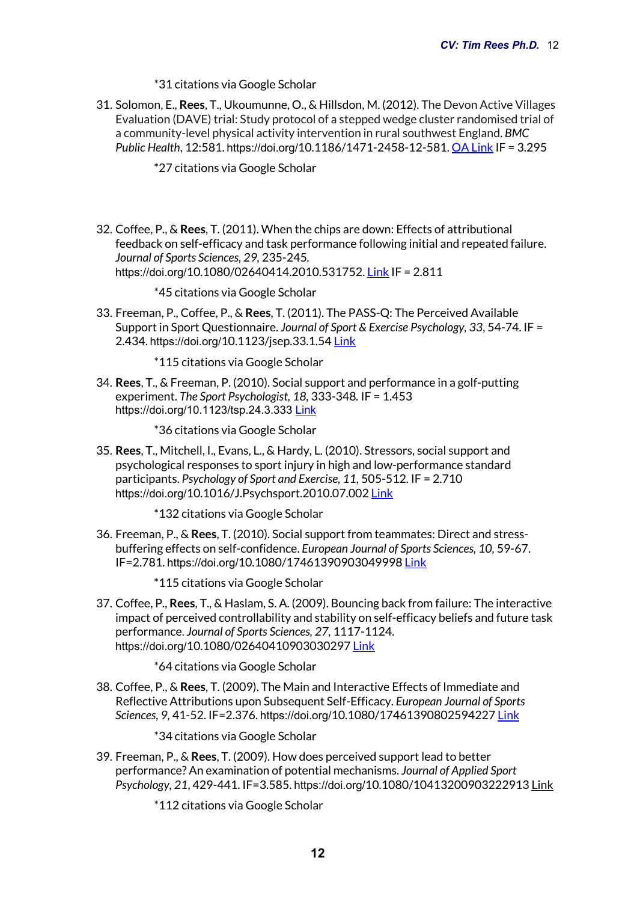#### \*31 citations via Google Scholar

31. Solomon, E., **Rees**, T., Ukoumunne, O., & Hillsdon, M. (2012). The Devon Active Villages Evaluation (DAVE) trial: Study protocol of a stepped wedge cluster randomised trial of a community-level physical activity intervention in rural southwest England. *BMC Public Health*, 12:581. https://doi.org/10.1186/1471-2458-12-581. OA Link IF = 3.295

\*27 citations via Google Scholar

32. Coffee, P., & **Rees**, T. (2011). When the chips are down: Effects of attributional feedback on self-efficacy and task performance following initial and repeated failure. *Journal of Sports Sciences, 29,* 235-245*.* https://doi.org/10.1080/02640414.2010.531752. Link IF = 2.811

\*45 citations via Google Scholar

33. Freeman, P., Coffee, P., & **Rees**, T. (2011). The PASS-Q: The Perceived Available Support in Sport Questionnaire. *Journal of Sport & Exercise Psychology, 33*, 54-74. IF = 2.434. https://doi.org/10.1123/jsep.33.1.54 Link

\*115 citations via Google Scholar

- 34. **Rees**, T., & Freeman, P. (2010). Social support and performance in a golf-putting experiment. *The Sport Psychologist, 18,* 333-348*.* IF = 1.453 https://doi.org/10.1123/tsp.24.3.333 Link
	- \*36 citations via Google Scholar
- 35. **Rees**, T., Mitchell, I., Evans, L., & Hardy, L. (2010). Stressors, social support and psychological responses to sport injury in high and low-performance standard participants. *Psychology of Sport and Exercise, 11,* 505-512*.* IF = 2.710 https://doi.org/10.1016/J.Psychsport.2010.07.002 Link

\*132 citations via Google Scholar

36. Freeman, P., & **Rees**, T. (2010). Social support from teammates: Direct and stressbuffering effects on self-confidence. *European Journal of Sports Sciences, 10,* 59-67. IF=2.781. https://doi.org/10.1080/17461390903049998 Link

\*115 citations via Google Scholar

37. Coffee, P., **Rees**, T., & Haslam, S. A. (2009). Bouncing back from failure: The interactive impact of perceived controllability and stability on self-efficacy beliefs and future task performance. *Journal of Sports Sciences, 27,* 1117-1124. https://doi.org/10.1080/02640410903030297 Link

\*64 citations via Google Scholar

38. Coffee, P., & **Rees**, T. (2009). The Main and Interactive Effects of Immediate and Reflective Attributions upon Subsequent Self-Efficacy. *European Journal of Sports Sciences, 9,* 41-52. IF=2.376. https://doi.org/10.1080/17461390802594227 Link

\*34 citations via Google Scholar

- 39. Freeman, P., & **Rees**, T. (2009). How does perceived support lead to better performance? An examination of potential mechanisms. *Journal of Applied Sport Psychology, 21*, 429-441. IF=3.585. https://doi.org/10.1080/10413200903222913 Link
	- \*112 citations via Google Scholar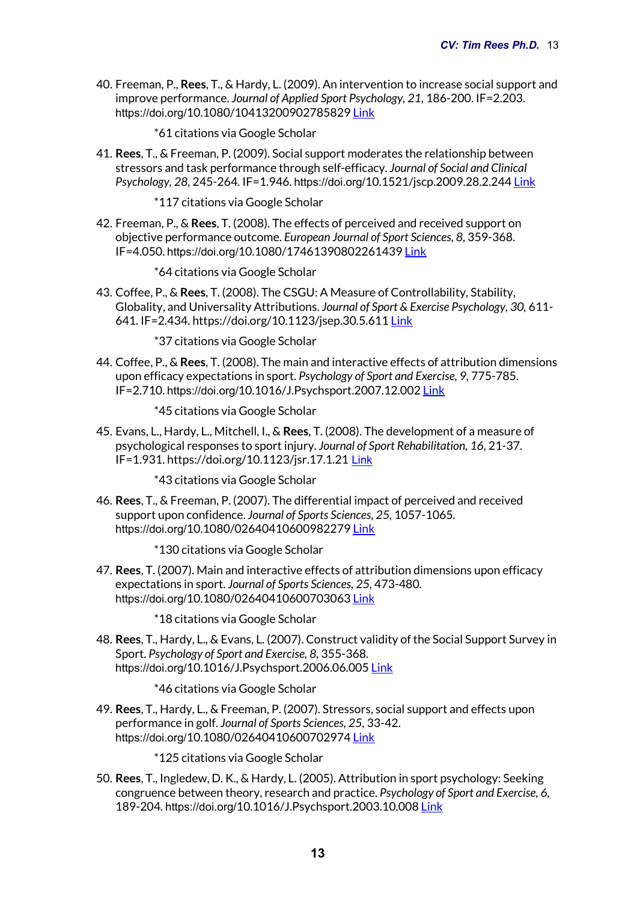40. Freeman, P., **Rees**, T., & Hardy, L. (2009). An intervention to increase social support and improve performance. *Journal of Applied Sport Psychology, 21,* 186-200. IF=2.203. https://doi.org/10.1080/10413200902785829 Link

\*61 citations via Google Scholar

41. **Rees**, T., & Freeman, P. (2009). Social support moderates the relationship between stressors and task performance through self-efficacy. *Journal of Social and Clinical Psychology, 28,* 245-264*.* IF=1.946. https://doi.org/10.1521/jscp.2009.28.2.244 Link

\*117 citations via Google Scholar

42. Freeman, P., & **Rees**, T. (2008). The effects of perceived and received support on objective performance outcome. *European Journal of Sport Sciences, 8,* 359-368. IF=4.050. https://doi.org/10.1080/17461390802261439 Link

\*64 citations via Google Scholar

43. Coffee, P., & **Rees**, T. (2008). The CSGU: A Measure of Controllability, Stability, Globality, and Universality Attributions. *Journal of Sport & Exercise Psychology, 30,* 611- 641*.* IF=2.434. https://doi.org/10.1123/jsep.30.5.611 Link

\*37 citations via Google Scholar

- 44. Coffee, P., & **Rees**, T. (2008). The main and interactive effects of attribution dimensions upon efficacy expectations in sport. *Psychology of Sport and Exercise, 9,* 775-785. IF=2.710. https://doi.org/10.1016/J.Psychsport.2007.12.002 Link
	- \*45 citations via Google Scholar
- 45. Evans, L., Hardy, L., Mitchell, I., & **Rees**, T. (2008). The development of a measure of psychological responses to sport injury. *Journal of Sport Rehabilitation, 16,* 21-37. IF=1.931. https://doi.org/10.1123/jsr.17.1.21 Link

\*43 citations via Google Scholar

46. **Rees**, T., & Freeman, P. (2007). The differential impact of perceived and received support upon confidence. *Journal of Sports Sciences, 25,* 1057-1065*.* https://doi.org/10.1080/02640410600982279 Link

\*130 citations via Google Scholar

- 47. **Rees**, T. (2007). Main and interactive effects of attribution dimensions upon efficacy expectations in sport. *Journal of Sports Sciences, 25,* 473-480*.* https://doi.org/10.1080/02640410600703063 Link
	- \*18 citations via Google Scholar
- 48. **Rees**, T., Hardy, L., & Evans, L. (2007). Construct validity of the Social Support Survey in Sport. *Psychology of Sport and Exercise, 8,* 355-368*.* https://doi.org/10.1016/J.Psychsport.2006.06.005 Link

\*46 citations via Google Scholar

49. **Rees**, T., Hardy, L., & Freeman, P. (2007). Stressors, social support and effects upon performance in golf. *Journal of Sports Sciences, 25,* 33-42. https://doi.org/10.1080/02640410600702974 Link

\*125 citations via Google Scholar

50. **Rees**, T., Ingledew, D. K., & Hardy, L. (2005). Attribution in sport psychology: Seeking congruence between theory, research and practice. *Psychology of Sport and Exercise, 6,* 189-204*.* https://doi.org/10.1016/J.Psychsport.2003.10.008 Link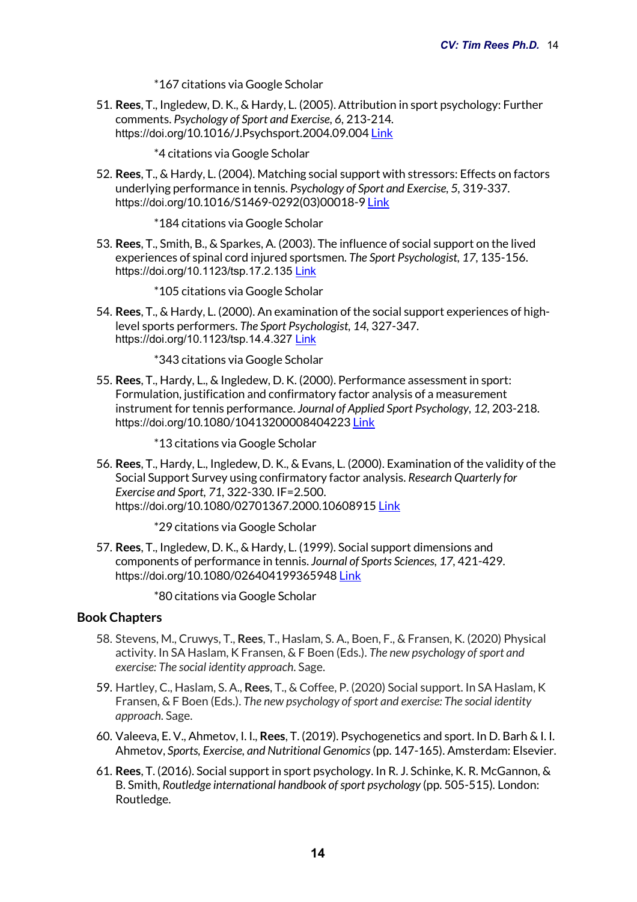\*167 citations via Google Scholar

51. **Rees**, T., Ingledew, D. K., & Hardy, L. (2005). Attribution in sport psychology: Further comments. *Psychology of Sport and Exercise, 6,* 213-214*.* https://doi.org/10.1016/J.Psychsport.2004.09.004 Link

\*4 citations via Google Scholar

- 52. **Rees**, T., & Hardy, L. (2004). Matching social support with stressors: Effects on factors underlying performance in tennis. *Psychology of Sport and Exercise, 5,* 319-337*.* https://doi.org/10.1016/S1469-0292(03)00018-9 Link
	- \*184 citations via Google Scholar
- 53. **Rees**, T., Smith, B., & Sparkes, A. (2003). The influence of social support on the lived experiences of spinal cord injured sportsmen. *The Sport Psychologist, 17,* 135-156. https://doi.org/10.1123/tsp.17.2.135 Link

\*105 citations via Google Scholar

54. **Rees**, T., & Hardy, L. (2000). An examination of the social support experiences of highlevel sports performers. *The Sport Psychologist, 14,* 327-347. https://doi.org/10.1123/tsp.14.4.327 Link

\*343 citations via Google Scholar

55. **Rees**, T., Hardy, L., & Ingledew, D. K. (2000). Performance assessment in sport: Formulation, justification and confirmatory factor analysis of a measurement instrument for tennis performance. *Journal of Applied Sport Psychology, 12,* 203-218. https://doi.org/10.1080/10413200008404223 Link

\*13 citations via Google Scholar

56. **Rees**, T., Hardy, L., Ingledew, D. K., & Evans, L. (2000). Examination of the validity of the Social Support Survey using confirmatory factor analysis. *Research Quarterly for Exercise and Sport, 71,* 322-330. IF=2.500. https://doi.org/10.1080/02701367.2000.10608915 Link

\*29 citations via Google Scholar

57. **Rees**, T., Ingledew, D. K., & Hardy, L. (1999). Social support dimensions and components of performance in tennis. *Journal of Sports Sciences, 17,* 421-429. https://doi.org/10.1080/026404199365948 Link

\*80 citations via Google Scholar

## **Book Chapters**

- 58. Stevens, M., Cruwys, T., **Rees**, T., Haslam, S. A., Boen, F., & Fransen, K. (2020) Physical activity. In SA Haslam, K Fransen, & F Boen (Eds.). *The new psychology of sport and exercise: The social identity approach*. Sage.
- 59. Hartley, C., Haslam, S. A., **Rees**, T., & Coffee, P. (2020) Social support. In SA Haslam, K Fransen, & F Boen (Eds.). *The new psychology of sport and exercise: The social identity approach*. Sage.
- 60. Valeeva, E. V., Ahmetov, I. I., **Rees**, T. (2019). Psychogenetics and sport. In D. Barh & I. I. Ahmetov, *Sports, Exercise, and Nutritional Genomics*(pp. 147-165). Amsterdam: Elsevier.
- 61. **Rees**, T. (2016). Social support in sport psychology. In R. J. Schinke, K. R. McGannon, & B. Smith, *Routledge international handbook of sport psychology* (pp. 505-515)*.* London: Routledge.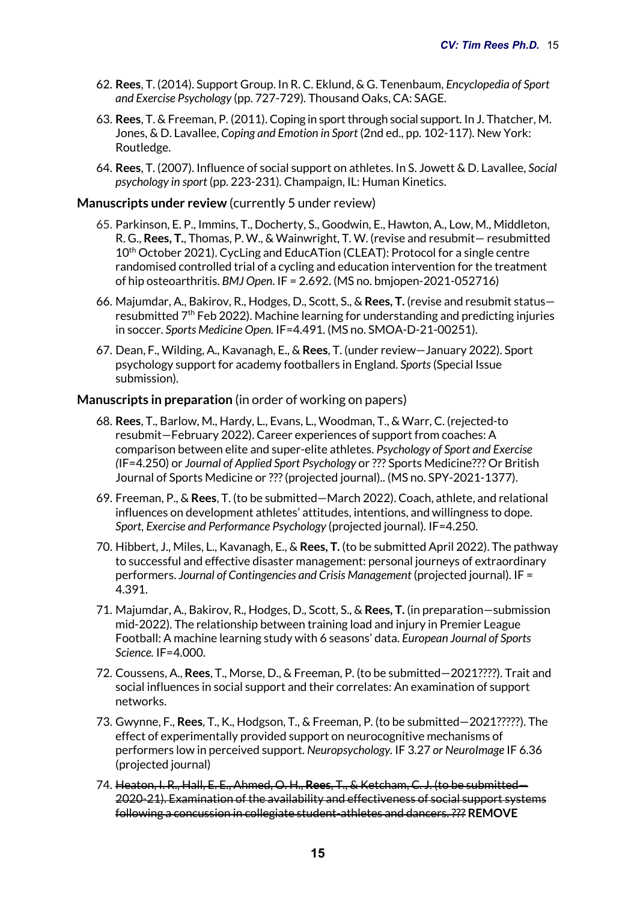- 62. **Rees**, T. (2014). Support Group. In R. C. Eklund, & G. Tenenbaum, *Encyclopedia of Sport and Exercise Psychology* (pp. 727-729)*.* Thousand Oaks, CA: SAGE.
- 63. **Rees**, T. & Freeman, P. (2011). Coping in sport through social support. In J. Thatcher, M. Jones, & D. Lavallee, *Coping and Emotion in Sport* (2nd ed., pp. 102-117)*.* New York: Routledge.
- 64. **Rees**, T. (2007). Influence of social support on athletes. In S. Jowett & D. Lavallee, *Social psychology in sport* (pp. 223-231)*.* Champaign, IL: Human Kinetics.

#### **Manuscripts under review** (currently 5 under review)

- 65. Parkinson, E. P., Immins, T., Docherty, S., Goodwin, E., Hawton, A., Low, M., Middleton, R. G., **Rees, T.**, Thomas, P. W., & Wainwright, T. W. (revise and resubmit— resubmitted 10<sup>th</sup> October 2021). CycLing and EducATion (CLEAT): Protocol for a single centre randomised controlled trial of a cycling and education intervention for the treatment of hip osteoarthritis. *BMJ Open*. IF = 2.692. (MS no. bmjopen-2021-052716)
- 66. Majumdar, A., Bakirov, R., Hodges, D., Scott, S., & **Rees, T.** (revise and resubmit status resubmitted  $7<sup>th</sup>$  Feb 2022). Machine learning for understanding and predicting injuries in soccer. *Sports Medicine Open.* IF=4.491. (MS no. SMOA-D-21-00251).
- 67. Dean, F., Wilding, A., Kavanagh, E., & **Rees**, T. (under review—January 2022). Sport psychology support for academy footballers in England. *Sports*(Special Issue submission)*.*

#### **Manuscripts in preparation** (in order of working on papers)

- 68. **Rees**, T., Barlow, M., Hardy, L., Evans, L., Woodman, T., & Warr, C. (rejected-to resubmit—February 2022). Career experiences of support from coaches: A comparison between elite and super-elite athletes. *Psychology of Sport and Exercise (*IF=4.250) or *Journal of Applied Sport Psychology* or ??? Sports Medicine??? Or British Journal of Sports Medicine or ???(projected journal)*.*. (MS no. SPY-2021-1377).
- 69. Freeman, P., & **Rees**, T. (to be submitted—March 2022). Coach, athlete, and relational influences on development athletes' attitudes, intentions, and willingness to dope. *Sport, Exercise and Performance Psychology* (projected journal)*.* IF=4.250.
- 70. Hibbert, J., Miles, L., Kavanagh, E., & **Rees, T.** (to be submitted April 2022). The pathway to successful and effective disaster management: personal journeys of extraordinary performers. *Journal of Contingencies and Crisis Management* (projected journal)*.* IF = 4.391.
- 71. Majumdar, A., Bakirov, R., Hodges, D., Scott, S., & **Rees, T.** (in preparation—submission mid-2022). The relationship between training load and injury in Premier League Football: A machine learning study with 6 seasons' data. *European Journal of Sports Science.* IF=4.000.
- 72. Coussens, A., **Rees**, T., Morse, D., & Freeman, P. (to be submitted—2021????). Trait and social influences in social support and their correlates: An examination of support networks.
- 73. Gwynne, F., **Rees**, T., K., Hodgson, T., & Freeman, P. (to be submitted—2021?????). The effect of experimentally provided support on neurocognitive mechanisms of performers low in perceived support. *Neuropsychology.* IF 3.27 *or NeuroImage* IF 6.36 (projected journal)
- 74. Heaton, I. R., Hall, E. E., Ahmed, O. H., **Rees**, T., & Ketcham, C. J. (to be submitted— 2020-21). Examination of the availability and effectiveness of social support systems following a concussion in collegiate student-athletes and dancers. ??? **REMOVE**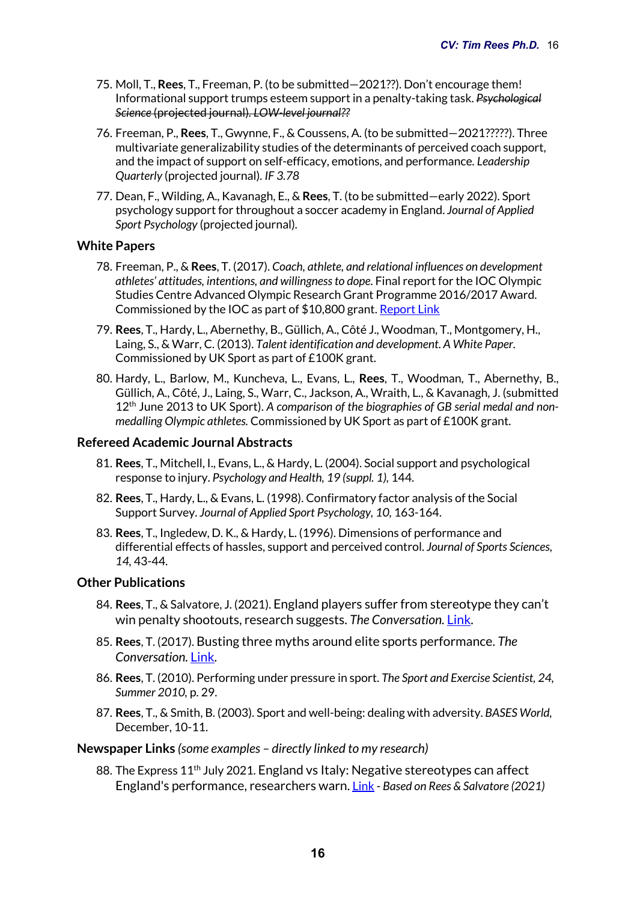- 75. Moll, T., **Rees**, T., Freeman, P. (to be submitted—2021??). Don't encourage them! Informational support trumps esteem support in a penalty-taking task. *Psychological Science* (projected journal)*. LOW-level journal??*
- 76. Freeman, P., **Rees**, T., Gwynne, F., & Coussens, A. (to be submitted—2021?????). Three multivariate generalizability studies of the determinants of perceived coach support, and the impact of support on self-efficacy, emotions, and performance*. Leadership Quarterly* (projected journal)*. IF 3.78*
- 77. Dean, F., Wilding, A., Kavanagh, E., & **Rees**, T. (to be submitted—early 2022). Sport psychology support for throughout a soccer academy in England. *Journal of Applied Sport Psychology* (projected journal)*.*

## **White Papers**

- 78. Freeman, P., & **Rees**, T. (2017). *Coach, athlete, and relational influences on development athletes' attitudes, intentions, and willingness to dope*. Final report for the IOC Olympic Studies Centre Advanced Olympic Research Grant Programme 2016/2017 Award. Commissioned by the IOC as part of \$10,800 grant. Report Link
- 79. **Rees**, T., Hardy, L., Abernethy, B., Güllich, A., Côté J., Woodman, T., Montgomery, H., Laing, S., & Warr, C. (2013). *Talent identification and development*. *A White Paper*. Commissioned by UK Sport as part of £100K grant.
- 80. Hardy, L., Barlow, M., Kuncheva, L., Evans, L., **Rees**, T., Woodman, T., Abernethy, B., Güllich, A., Côté, J., Laing, S., Warr, C., Jackson, A., Wraith, L., & Kavanagh, J. (submitted 12th June 2013 to UK Sport). *A comparison of the biographies of GB serial medal and nonmedalling Olympic athletes.* Commissioned by UK Sport as part of £100K grant.

## **Refereed Academic Journal Abstracts**

- 81. **Rees**, T., Mitchell, I., Evans, L., & Hardy, L. (2004). Social support and psychological response to injury. *Psychology and Health, 19 (suppl. 1),* 144.
- 82. **Rees**, T., Hardy, L., & Evans, L. (1998). Confirmatory factor analysis of the Social Support Survey. *Journal of Applied Sport Psychology, 10,* 163-164.
- 83. **Rees**, T., Ingledew, D. K., & Hardy, L. (1996). Dimensions of performance and differential effects of hassles, support and perceived control. *Journal of Sports Sciences, 14,* 43-44.

#### **Other Publications**

- 84. **Rees**, T., & Salvatore, J. (2021). England players suffer from stereotype they can't win penalty shootouts, research suggests. *The Conversation.* Link.
- 85. **Rees**, T. (2017). Busting three myths around elite sports performance. *The Conversation.* Link.
- 86. **Rees**, T. (2010). Performing under pressure in sport. *The Sport and Exercise Scientist, 24, Summer 2010,* p. 29.
- 87. **Rees**, T., & Smith, B. (2003). Sport and well-being: dealing with adversity. *BASES World,*  December, 10-11.

#### **Newspaper Links** *(some examples – directly linked to my research)*

88. The Express 11<sup>th</sup> July 2021. England vs Italy: Negative stereotypes can affect England's performance, researchers warn. Link - *Based on Rees & Salvatore (2021)*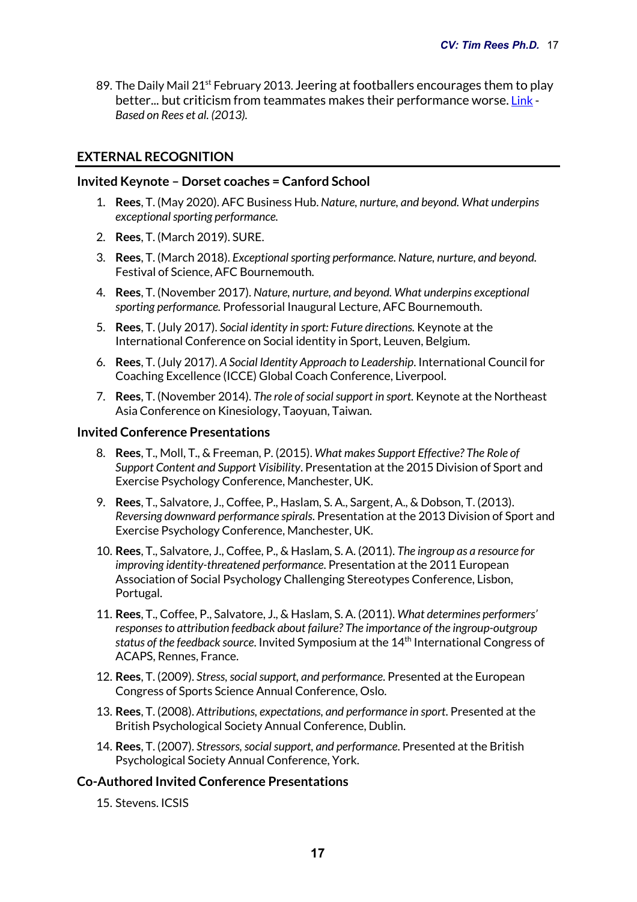89. The Daily Mail 21<sup>st</sup> February 2013. Jeering at footballers encourages them to play better... but criticism from teammates makes their performance worse. Link - *Based on Rees et al. (2013).*

# **EXTERNAL RECOGNITION**

## **Invited Keynote – Dorset coaches = Canford School**

- 1. **Rees**, T. (May 2020). AFC Business Hub. *Nature, nurture, and beyond. What underpins exceptional sporting performance.*
- 2. **Rees**, T. (March 2019). SURE.
- 3. **Rees**, T. (March 2018). *Exceptional sporting performance. Nature, nurture, and beyond.* Festival of Science, AFC Bournemouth.
- 4. **Rees**, T. (November 2017). *Nature, nurture, and beyond. What underpins exceptional sporting performance.* Professorial Inaugural Lecture, AFC Bournemouth.
- 5. **Rees**, T. (July 2017). *Social identity in sport: Future directions.* Keynote at the International Conference on Social identity in Sport, Leuven, Belgium.
- 6. **Rees**, T. (July 2017). *A Social Identity Approach to Leadership*. International Council for Coaching Excellence (ICCE) Global Coach Conference, Liverpool.
- 7. **Rees**, T. (November 2014). *The role of social support in sport.* Keynote at the Northeast Asia Conference on Kinesiology, Taoyuan, Taiwan.

#### **Invited Conference Presentations**

- 8. **Rees**, T., Moll, T., & Freeman, P. (2015). *What makes Support Effective? The Role of Support Content and Support Visibility*. Presentation at the 2015 Division of Sport and Exercise Psychology Conference, Manchester, UK.
- 9. **Rees**, T., Salvatore, J., Coffee, P., Haslam, S. A., Sargent, A., & Dobson, T. (2013). *Reversing downward performance spirals*. Presentation at the 2013 Division of Sport and Exercise Psychology Conference, Manchester, UK.
- 10. **Rees**, T., Salvatore, J., Coffee, P., & Haslam, S. A. (2011). *The ingroup as a resource for improving identity-threatened performance*. Presentation at the 2011 European Association of Social Psychology Challenging Stereotypes Conference, Lisbon, Portugal.
- 11. **Rees**, T., Coffee, P., Salvatore, J., & Haslam, S. A. (2011). *What determines performers' responses to attribution feedback about failure? The importance of the ingroup-outgroup status of the feedback source*. Invited Symposium at the 14th International Congress of ACAPS, Rennes, France.
- 12. **Rees**, T. (2009). *Stress, social support, and performance*. Presented at the European Congress of Sports Science Annual Conference, Oslo.
- 13. **Rees**, T. (2008). *Attributions, expectations, and performance in sport*. Presented at the British Psychological Society Annual Conference, Dublin.
- 14. **Rees**, T. (2007). *Stressors, social support, and performance*. Presented at the British Psychological Society Annual Conference, York.

#### **Co-Authored Invited Conference Presentations**

15. Stevens. ICSIS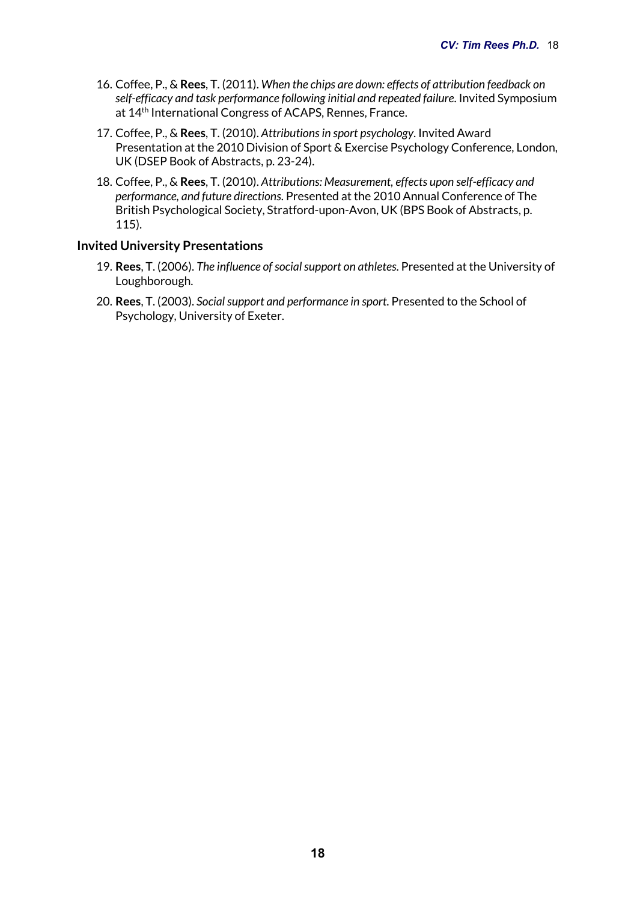- 16. Coffee, P., & **Rees**, T. (2011). *When the chips are down: effects of attribution feedback on self-efficacy and task performance following initial and repeated failure*. Invited Symposium at 14<sup>th</sup> International Congress of ACAPS, Rennes, France.
- 17. Coffee, P., & **Rees**, T. (2010). *Attributions in sport psychology*. Invited Award Presentation at the 2010 Division of Sport & Exercise Psychology Conference, London, UK (DSEP Book of Abstracts, p. 23-24).
- 18. Coffee, P., & **Rees**, T. (2010). *Attributions: Measurement, effects upon self-efficacy and performance, and future directions*. Presented at the 2010 Annual Conference of The British Psychological Society, Stratford-upon-Avon, UK (BPS Book of Abstracts, p. 115).

#### **Invited University Presentations**

- 19. **Rees**, T. (2006). *The influence of social support on athletes*. Presented at the University of Loughborough.
- 20. **Rees**, T. (2003). *Social support and performance in sport*. Presented to the School of Psychology, University of Exeter.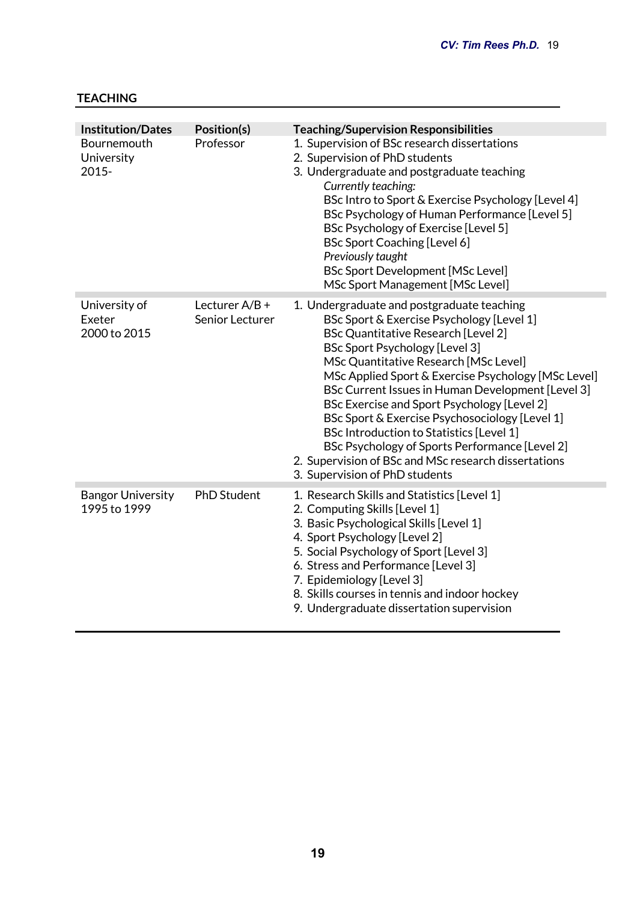# **TEACHING**

| <b>Institution/Dates</b><br>Bournemouth<br>University<br>2015- | Position(s)<br>Professor            | <b>Teaching/Supervision Responsibilities</b><br>1. Supervision of BSc research dissertations<br>2. Supervision of PhD students<br>3. Undergraduate and postgraduate teaching<br>Currently teaching:<br>BSc Intro to Sport & Exercise Psychology [Level 4]<br>BSc Psychology of Human Performance [Level 5]<br><b>BSc Psychology of Exercise [Level 5]</b><br><b>BSc Sport Coaching [Level 6]</b><br>Previously taught<br><b>BSc Sport Development [MSc Level]</b><br>MSc Sport Management [MSc Level]                                                                                                                               |
|----------------------------------------------------------------|-------------------------------------|-------------------------------------------------------------------------------------------------------------------------------------------------------------------------------------------------------------------------------------------------------------------------------------------------------------------------------------------------------------------------------------------------------------------------------------------------------------------------------------------------------------------------------------------------------------------------------------------------------------------------------------|
| University of<br>Exeter<br>2000 to 2015                        | Lecturer $A/B +$<br>Senior Lecturer | 1. Undergraduate and postgraduate teaching<br>BSc Sport & Exercise Psychology [Level 1]<br><b>BSc Quantitative Research [Level 2]</b><br><b>BSc Sport Psychology [Level 3]</b><br>MSc Quantitative Research [MSc Level]<br>MSc Applied Sport & Exercise Psychology [MSc Level]<br>BSc Current Issues in Human Development [Level 3]<br>BSc Exercise and Sport Psychology [Level 2]<br>BSc Sport & Exercise Psychosociology [Level 1]<br><b>BSc Introduction to Statistics [Level 1]</b><br>BSc Psychology of Sports Performance [Level 2]<br>2. Supervision of BSc and MSc research dissertations<br>3. Supervision of PhD students |
| <b>Bangor University</b><br>1995 to 1999                       | <b>PhD Student</b>                  | 1. Research Skills and Statistics [Level 1]<br>2. Computing Skills [Level 1]<br>3. Basic Psychological Skills [Level 1]<br>4. Sport Psychology [Level 2]<br>5. Social Psychology of Sport [Level 3]<br>6. Stress and Performance [Level 3]<br>7. Epidemiology [Level 3]<br>8. Skills courses in tennis and indoor hockey<br>9. Undergraduate dissertation supervision                                                                                                                                                                                                                                                               |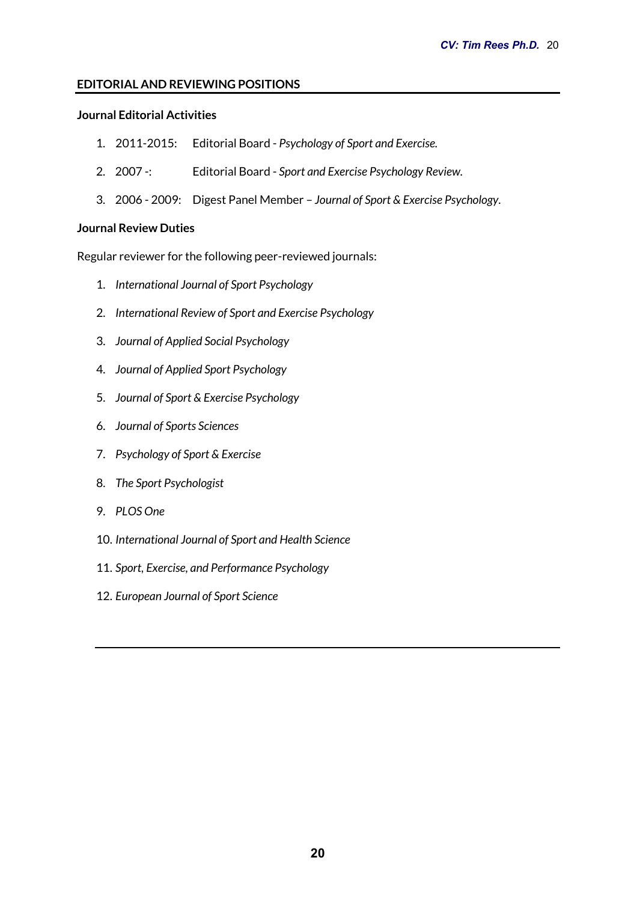# **EDITORIAL AND REVIEWING POSITIONS**

# **Journal Editorial Activities**

- 1. 2011-2015: Editorial Board *Psychology of Sport and Exercise.*
- 2. 2007 -: Editorial Board *Sport and Exercise Psychology Review.*
- 3. 2006 2009: Digest Panel Member *Journal of Sport & Exercise Psychology*.

## **Journal Review Duties**

Regular reviewer for the following peer-reviewed journals:

- 1. *International Journal of Sport Psychology*
- 2. *International Review of Sport and Exercise Psychology*
- 3. *Journal of Applied Social Psychology*
- 4. *Journal of Applied Sport Psychology*
- 5. *Journal of Sport & Exercise Psychology*
- 6. *Journal of Sports Sciences*
- 7. *Psychology of Sport & Exercise*
- 8. *The Sport Psychologist*
- 9. *PLOS One*
- 10. *International Journal of Sport and Health Science*
- 11. *Sport, Exercise, and Performance Psychology*
- 12. *European Journal of Sport Science*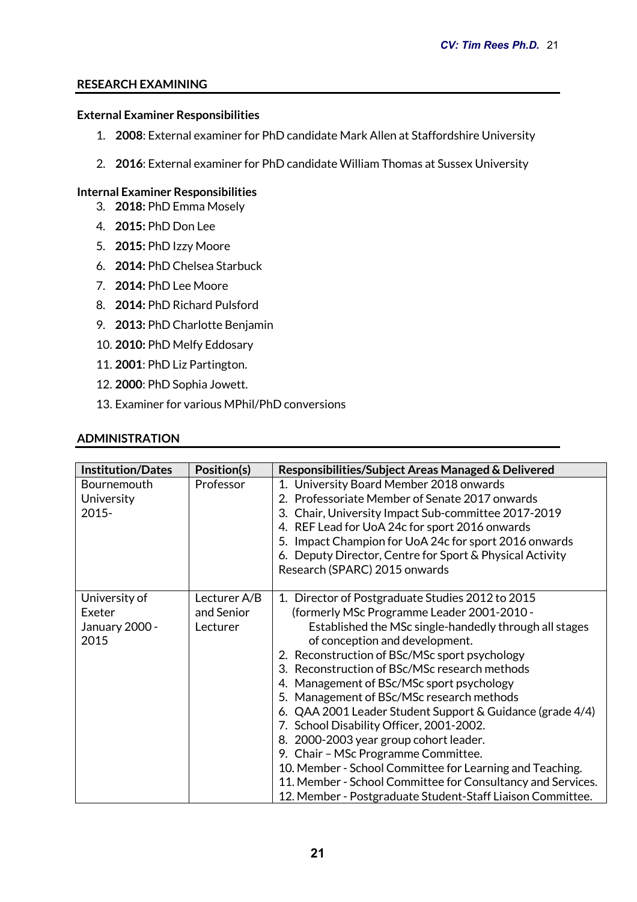# **RESEARCH EXAMINING**

#### **External Examiner Responsibilities**

- 1. **2008**: External examiner for PhD candidate Mark Allen at Staffordshire University
- 2. **2016**: External examiner for PhD candidate William Thomas at Sussex University

## **Internal Examiner Responsibilities**

- 3. **2018:** PhD Emma Mosely
- 4. **2015:** PhD Don Lee
- 5. **2015:** PhD Izzy Moore
- 6. **2014:** PhD Chelsea Starbuck
- 7. **2014:** PhD Lee Moore
- 8. **2014:** PhD Richard Pulsford
- 9. **2013:** PhD Charlotte Benjamin
- 10. **2010:** PhD Melfy Eddosary
- 11. **2001**: PhD Liz Partington.
- 12. **2000**: PhD Sophia Jowett.
- 13. Examiner for various MPhil/PhD conversions

#### **ADMINISTRATION**

| <b>Institution/Dates</b>                          | Position(s)                            | Responsibilities/Subject Areas Managed & Delivered                                                                                                                                                                                                                                                                                                                                                                                                                                                                                                                                                                                                                                                                                                                        |
|---------------------------------------------------|----------------------------------------|---------------------------------------------------------------------------------------------------------------------------------------------------------------------------------------------------------------------------------------------------------------------------------------------------------------------------------------------------------------------------------------------------------------------------------------------------------------------------------------------------------------------------------------------------------------------------------------------------------------------------------------------------------------------------------------------------------------------------------------------------------------------------|
| Bournemouth<br>University<br>$2015 -$             | Professor                              | 1. University Board Member 2018 onwards<br>2. Professoriate Member of Senate 2017 onwards<br>3. Chair, University Impact Sub-committee 2017-2019<br>4. REF Lead for UoA 24c for sport 2016 onwards<br>5. Impact Champion for UoA 24c for sport 2016 onwards<br>6. Deputy Director, Centre for Sport & Physical Activity<br>Research (SPARC) 2015 onwards                                                                                                                                                                                                                                                                                                                                                                                                                  |
| University of<br>Exeter<br>January 2000 -<br>2015 | Lecturer A/B<br>and Senior<br>Lecturer | 1. Director of Postgraduate Studies 2012 to 2015<br>(formerly MSc Programme Leader 2001-2010 -<br>Established the MSc single-handedly through all stages<br>of conception and development.<br>2. Reconstruction of BSc/MSc sport psychology<br>3. Reconstruction of BSc/MSc research methods<br>4. Management of BSc/MSc sport psychology<br>5. Management of BSc/MSc research methods<br>6. QAA 2001 Leader Student Support & Guidance (grade 4/4)<br>7. School Disability Officer, 2001-2002.<br>8. 2000-2003 year group cohort leader.<br>9. Chair - MSc Programme Committee.<br>10. Member - School Committee for Learning and Teaching.<br>11. Member - School Committee for Consultancy and Services.<br>12. Member - Postgraduate Student-Staff Liaison Committee. |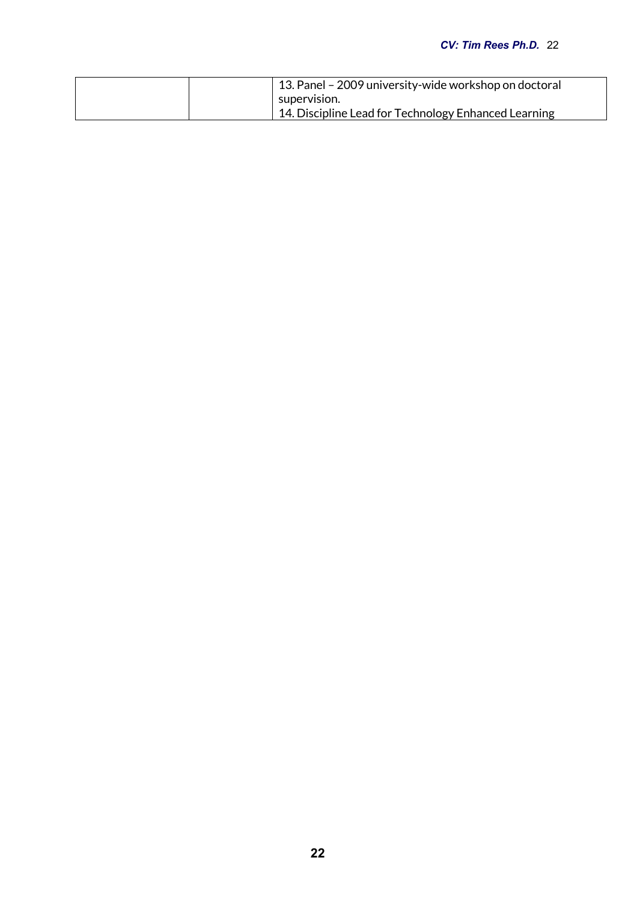## *CV: Tim Rees Ph.D.* 22

| 13. Panel – 2009 university-wide workshop on doctoral |  |
|-------------------------------------------------------|--|
| supervision.                                          |  |
| 14. Discipline Lead for Technology Enhanced Learning  |  |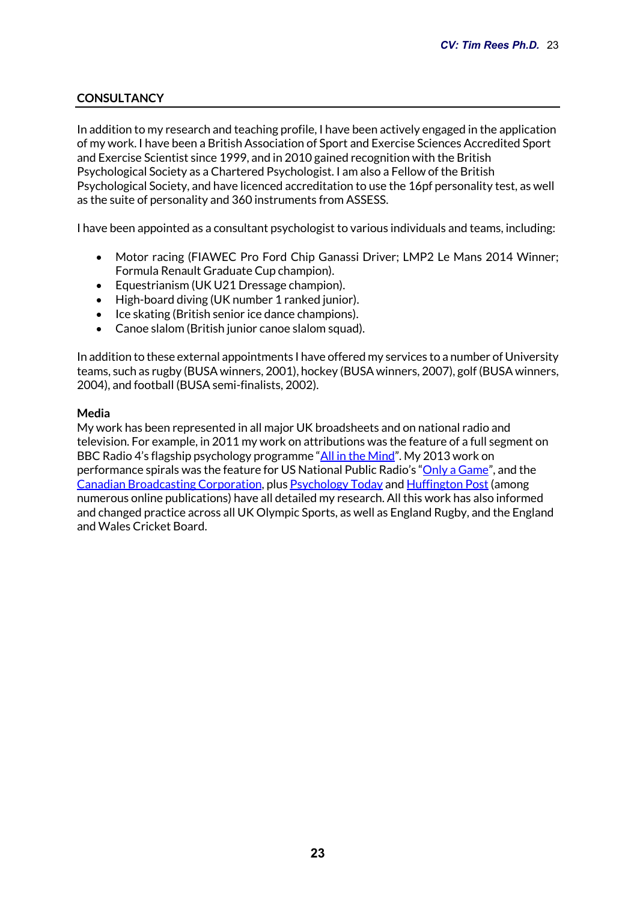# **CONSULTANCY**

In addition to my research and teaching profile, I have been actively engaged in the application of my work. I have been a British Association of Sport and Exercise Sciences Accredited Sport and Exercise Scientist since 1999, and in 2010 gained recognition with the British Psychological Society as a Chartered Psychologist. I am also a Fellow of the British Psychological Society, and have licenced accreditation to use the 16pf personality test, as well as the suite of personality and 360 instruments from ASSESS.

I have been appointed as a consultant psychologist to various individuals and teams, including:

- Motor racing (FIAWEC Pro Ford Chip Ganassi Driver; LMP2 Le Mans 2014 Winner; Formula Renault Graduate Cup champion).
- Equestrianism (UK U21 Dressage champion).
- High-board diving (UK number 1 ranked junior).
- Ice skating (British senior ice dance champions).
- Canoe slalom (British junior canoe slalom squad).

In addition to these external appointments I have offered my services to a number of University teams, such as rugby (BUSA winners, 2001), hockey (BUSA winners, 2007), golf (BUSA winners, 2004), and football (BUSA semi-finalists, 2002).

#### **Media**

My work has been represented in all major UK broadsheets and on national radio and television. For example, in 2011 my work on attributions was the feature of a full segment on BBC Radio 4's flagship psychology programme "All in the Mind". My 2013 work on performance spirals was the feature for US National Public Radio's "Only a Game", and the Canadian Broadcasting Corporation, plus Psychology Today and Huffington Post (among numerous online publications) have all detailed my research. All this work has also informed and changed practice across all UK Olympic Sports, as well as England Rugby, and the England and Wales Cricket Board.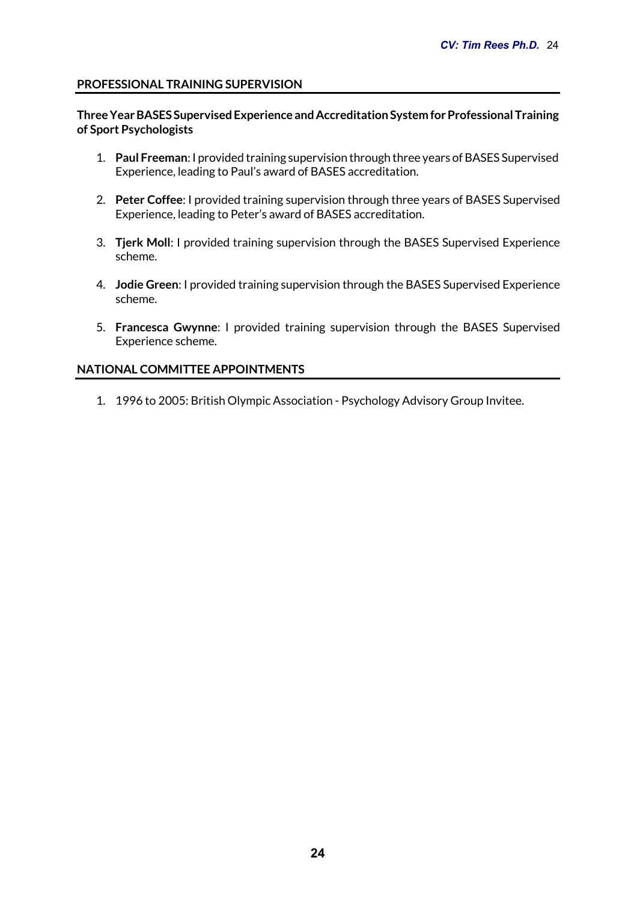## **PROFESSIONAL TRAINING SUPERVISION**

#### **Three Year BASES Supervised Experience and Accreditation System for Professional Training of Sport Psychologists**

- 1. **Paul Freeman**: I provided training supervision through three years of BASES Supervised Experience, leading to Paul's award of BASES accreditation.
- 2. **Peter Coffee**: I provided training supervision through three years of BASES Supervised Experience, leading to Peter's award of BASES accreditation.
- 3. **Tjerk Moll**: I provided training supervision through the BASES Supervised Experience scheme.
- 4. **Jodie Green**: I provided training supervision through the BASES Supervised Experience scheme.
- 5. **Francesca Gwynne**: I provided training supervision through the BASES Supervised Experience scheme.

## **NATIONAL COMMITTEE APPOINTMENTS**

1. 1996 to 2005: British Olympic Association - Psychology Advisory Group Invitee.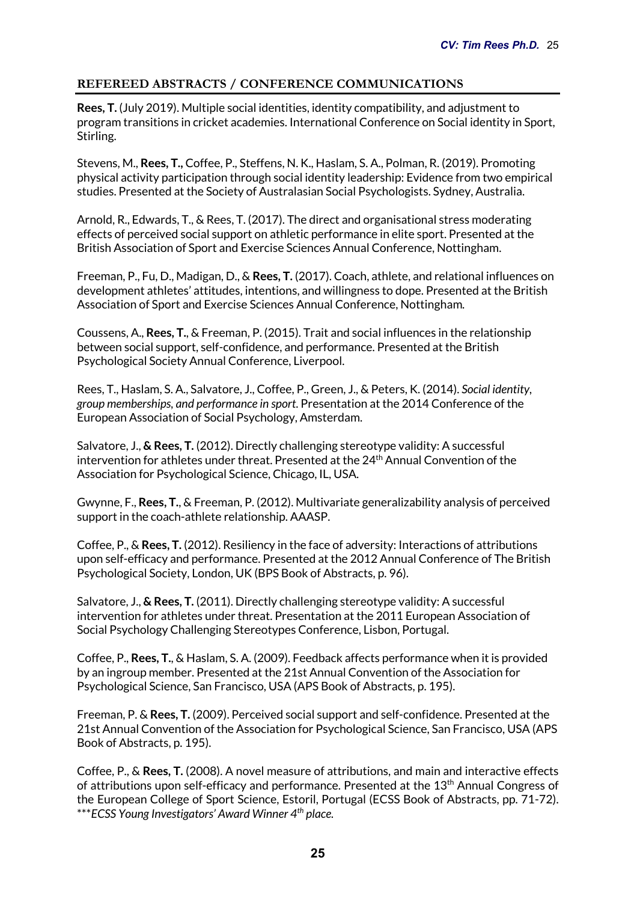# **REFEREED ABSTRACTS / CONFERENCE COMMUNICATIONS**

**Rees, T.** (July 2019). Multiple social identities, identity compatibility, and adjustment to program transitions in cricket academies. International Conference on Social identity in Sport, Stirling.

Stevens, M., **Rees, T.,** Coffee, P., Steffens, N. K., Haslam, S. A., Polman, R. (2019). Promoting physical activity participation through social identity leadership: Evidence from two empirical studies. Presented at the Society of Australasian Social Psychologists. Sydney, Australia.

Arnold, R., Edwards, T., & Rees, T. (2017). The direct and organisational stress moderating effects of perceived social support on athletic performance in elite sport. Presented at the British Association of Sport and Exercise Sciences Annual Conference, Nottingham.

Freeman, P., Fu, D., Madigan, D., & **Rees, T.** (2017). Coach, athlete, and relational influences on development athletes' attitudes, intentions, and willingness to dope. Presented at the British Association of Sport and Exercise Sciences Annual Conference, Nottingham.

Coussens, A., **Rees, T.**, & Freeman, P. (2015). Trait and social influences in the relationship between social support, self-confidence, and performance. Presented at the British Psychological Society Annual Conference, Liverpool.

Rees, T., Haslam, S. A., Salvatore, J., Coffee, P., Green, J., & Peters, K. (2014). *Social identity, group memberships, and performance in sport*. Presentation at the 2014 Conference of the European Association of Social Psychology, Amsterdam.

Salvatore, J., **& Rees, T.** (2012). Directly challenging stereotype validity: A successful intervention for athletes under threat. Presented at the 24<sup>th</sup> Annual Convention of the Association for Psychological Science, Chicago, IL, USA.

Gwynne, F., **Rees, T.**, & Freeman, P. (2012). Multivariate generalizability analysis of perceived support in the coach-athlete relationship. AAASP.

Coffee, P., & **Rees, T.** (2012). Resiliency in the face of adversity: Interactions of attributions upon self-efficacy and performance. Presented at the 2012 Annual Conference of The British Psychological Society, London, UK (BPS Book of Abstracts, p. 96).

Salvatore, J., **& Rees, T.** (2011). Directly challenging stereotype validity: A successful intervention for athletes under threat. Presentation at the 2011 European Association of Social Psychology Challenging Stereotypes Conference, Lisbon, Portugal.

Coffee, P., **Rees, T.**, & Haslam, S. A. (2009). Feedback affects performance when it is provided by an ingroup member. Presented at the 21st Annual Convention of the Association for Psychological Science, San Francisco, USA (APS Book of Abstracts, p. 195).

Freeman, P. & **Rees, T.** (2009). Perceived social support and self-confidence. Presented at the 21st Annual Convention of the Association for Psychological Science, San Francisco, USA (APS Book of Abstracts, p. 195).

Coffee, P., & **Rees, T.** (2008). A novel measure of attributions, and main and interactive effects of attributions upon self-efficacy and performance. Presented at the 13<sup>th</sup> Annual Congress of the European College of Sport Science, Estoril, Portugal (ECSS Book of Abstracts, pp. 71-72). \*\*\**ECSS Young Investigators' Award Winner 4th place.*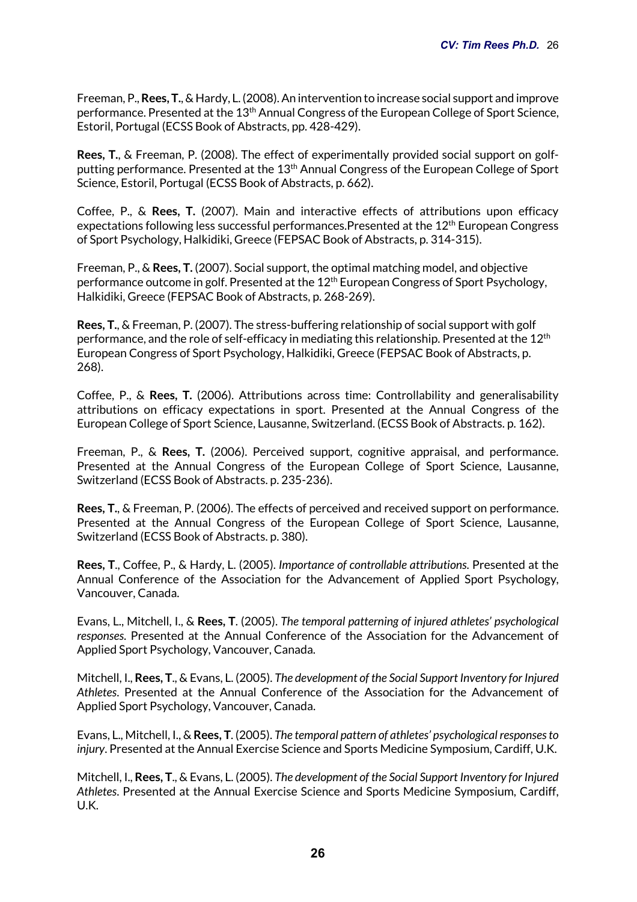Freeman, P., **Rees, T.**, & Hardy, L. (2008). An intervention to increase social support and improve performance. Presented at the 13th Annual Congress of the European College of Sport Science, Estoril, Portugal (ECSS Book of Abstracts, pp. 428-429).

**Rees, T.**, & Freeman, P. (2008). The effect of experimentally provided social support on golfputting performance. Presented at the 13<sup>th</sup> Annual Congress of the European College of Sport Science, Estoril, Portugal (ECSS Book of Abstracts, p. 662).

Coffee, P., & **Rees, T.** (2007). Main and interactive effects of attributions upon efficacy expectations following less successful performances.Presented at the 12<sup>th</sup> European Congress of Sport Psychology, Halkidiki, Greece (FEPSAC Book of Abstracts, p. 314-315).

Freeman, P., & **Rees, T.** (2007). Social support, the optimal matching model, and objective performance outcome in golf. Presented at the 12th European Congress of Sport Psychology, Halkidiki, Greece (FEPSAC Book of Abstracts, p. 268-269).

**Rees, T.**, & Freeman, P. (2007). The stress-buffering relationship of social support with golf performance, and the role of self-efficacy in mediating this relationship. Presented at the  $12<sup>th</sup>$ European Congress of Sport Psychology, Halkidiki, Greece (FEPSAC Book of Abstracts, p. 268).

Coffee, P., & **Rees, T.** (2006). Attributions across time: Controllability and generalisability attributions on efficacy expectations in sport. Presented at the Annual Congress of the European College of Sport Science, Lausanne, Switzerland. (ECSS Book of Abstracts. p. 162).

Freeman, P., & **Rees, T.** (2006). Perceived support, cognitive appraisal, and performance. Presented at the Annual Congress of the European College of Sport Science, Lausanne, Switzerland (ECSS Book of Abstracts. p. 235-236).

**Rees, T.**, & Freeman, P. (2006). The effects of perceived and received support on performance. Presented at the Annual Congress of the European College of Sport Science, Lausanne, Switzerland (ECSS Book of Abstracts. p. 380).

**Rees, T**., Coffee, P., & Hardy, L. (2005). *Importance of controllable attributions*. Presented at the Annual Conference of the Association for the Advancement of Applied Sport Psychology, Vancouver, Canada.

Evans, L., Mitchell, I., & **Rees, T**. (2005). *The temporal patterning of injured athletes' psychological responses*. Presented at the Annual Conference of the Association for the Advancement of Applied Sport Psychology, Vancouver, Canada.

Mitchell, I., **Rees, T**., & Evans, L. (2005). *The development of the Social Support Inventory for Injured Athletes*. Presented at the Annual Conference of the Association for the Advancement of Applied Sport Psychology, Vancouver, Canada.

Evans, L., Mitchell, I., & **Rees, T**. (2005). *The temporal pattern of athletes' psychological responses to injury*. Presented at the Annual Exercise Science and Sports Medicine Symposium, Cardiff, U.K.

Mitchell, I., **Rees, T**., & Evans, L. (2005). *The development of the Social Support Inventory for Injured Athletes*. Presented at the Annual Exercise Science and Sports Medicine Symposium, Cardiff, U.K.